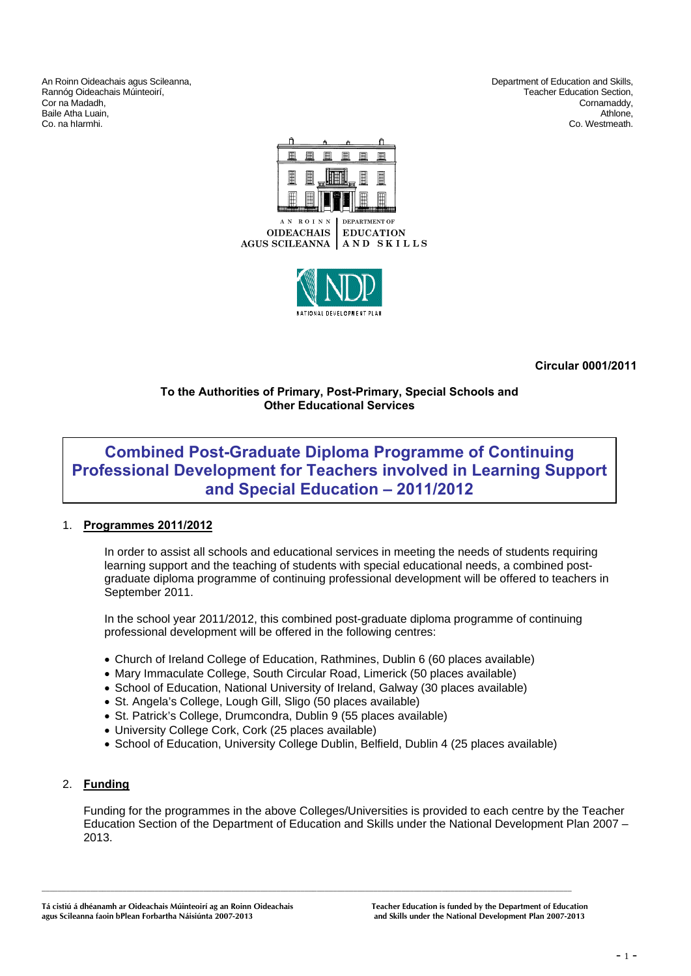Rannóg Oideachais Múinteoirí, Theoretic Christian Section, Teacher Education Section, Teacher Education Section, Cor na Madadh, Cornamaddy, Baile Atha Luain, Athlone, Athlone, Athlone, Athlone, Athlone, Athlone, Athlone, Athlone, Athlone, Athlone, Athlone, Athlone, Athlone, Athlone, Athlone, Athlone, Athlone, Athlone, Athlone, Athlone, Athlone, Athlone, Athlon Co. na hIarmhi. Co. Westmeath.

An Roinn Oideachais agus Scileanna, **Department of Education and Skills**, **Department of Education and Skills**,



**OIDEACHAIS EDUCATION** AGUS SCILEANNA AND SKILLS



**Circular 0001/2011** 

#### **To the Authorities of Primary, Post-Primary, Special Schools and Other Educational Services**

# **Combined Post-Graduate Diploma Programme of Continuing Professional Development for Teachers involved in Learning Support and Special Education – 2011/2012**

#### 1. **Programmes 2011/2012**

In order to assist all schools and educational services in meeting the needs of students requiring learning support and the teaching of students with special educational needs, a combined postgraduate diploma programme of continuing professional development will be offered to teachers in September 2011.

In the school year 2011/2012, this combined post-graduate diploma programme of continuing professional development will be offered in the following centres:

- Church of Ireland College of Education, Rathmines, Dublin 6 (60 places available)
- Mary Immaculate College, South Circular Road, Limerick (50 places available)
- School of Education, National University of Ireland, Galway (30 places available)
- St. Angela's College, Lough Gill, Sligo (50 places available)
- St. Patrick's College, Drumcondra, Dublin 9 (55 places available)
- University College Cork, Cork (25 places available)
- School of Education, University College Dublin, Belfield, Dublin 4 (25 places available)

# 2. **Funding**

Funding for the programmes in the above Colleges/Universities is provided to each centre by the Teacher Education Section of the Department of Education and Skills under the National Development Plan 2007 – 2013.

**Tá cistiú á dhéanamh ar Oideachais Múinteoirí ag an Roinn Oideachais Teacher Education is funded by the Department of Education agus Scileanna faoin bPlean Forbartha Náisiúnta 2007-2013 and Skills under the National Development Plan 2007-2013**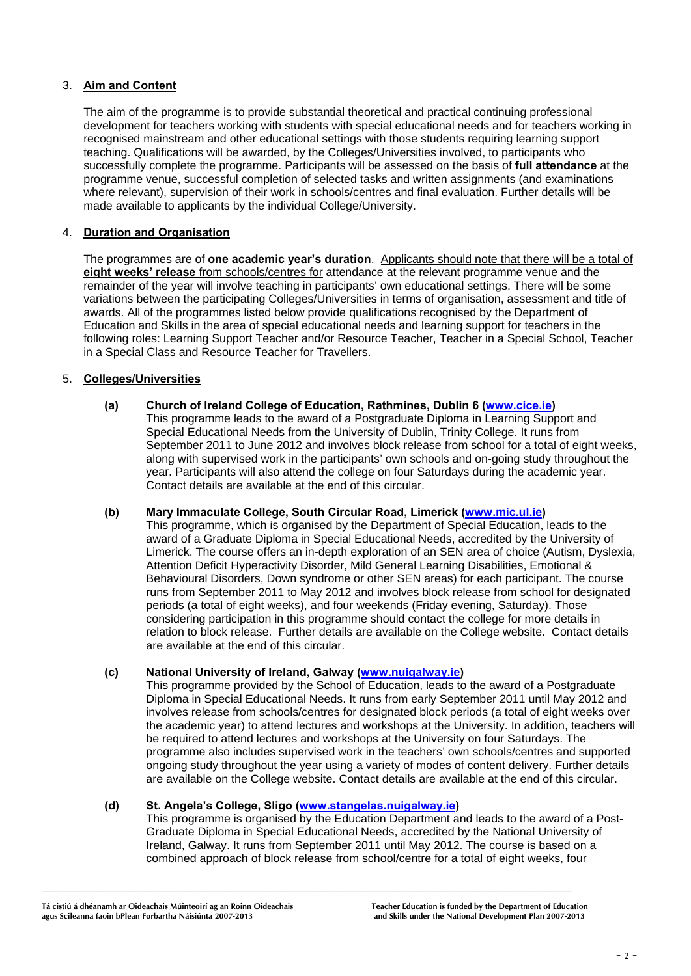# 3. **Aim and Content**

The aim of the programme is to provide substantial theoretical and practical continuing professional development for teachers working with students with special educational needs and for teachers working in recognised mainstream and other educational settings with those students requiring learning support teaching. Qualifications will be awarded, by the Colleges/Universities involved, to participants who successfully complete the programme. Participants will be assessed on the basis of **full attendance** at the programme venue, successful completion of selected tasks and written assignments (and examinations where relevant), supervision of their work in schools/centres and final evaluation. Further details will be made available to applicants by the individual College/University.

# 4. **Duration and Organisation**

The programmes are of **one academic year's duration**. Applicants should note that there will be a total of **eight weeks' release** from schools/centres for attendance at the relevant programme venue and the remainder of the year will involve teaching in participants' own educational settings. There will be some variations between the participating Colleges/Universities in terms of organisation, assessment and title of awards. All of the programmes listed below provide qualifications recognised by the Department of Education and Skills in the area of special educational needs and learning support for teachers in the following roles: Learning Support Teacher and/or Resource Teacher, Teacher in a Special School, Teacher in a Special Class and Resource Teacher for Travellers.

### 5. **Colleges/Universities**

**(a) Church of Ireland College of Education, Rathmines, Dublin 6 (www.cice.ie)**  This programme leads to the award of a Postgraduate Diploma in Learning Support and Special Educational Needs from the University of Dublin, Trinity College. It runs from September 2011 to June 2012 and involves block release from school for a total of eight weeks, along with supervised work in the participants' own schools and on-going study throughout the year. Participants will also attend the college on four Saturdays during the academic year. Contact details are available at the end of this circular.

#### **(b) Mary Immaculate College, South Circular Road, Limerick (www.mic.ul.ie)**

This programme, which is organised by the Department of Special Education, leads to the award of a Graduate Diploma in Special Educational Needs, accredited by the University of Limerick. The course offers an in-depth exploration of an SEN area of choice (Autism, Dyslexia, Attention Deficit Hyperactivity Disorder, Mild General Learning Disabilities, Emotional & Behavioural Disorders, Down syndrome or other SEN areas) for each participant. The course runs from September 2011 to May 2012 and involves block release from school for designated periods (a total of eight weeks), and four weekends (Friday evening, Saturday). Those considering participation in this programme should contact the college for more details in relation to block release. Further details are available on the College website. Contact details are available at the end of this circular.

#### **(c) National University of Ireland, Galway (www.nuigalway.ie)**

This programme provided by the School of Education, leads to the award of a Postgraduate Diploma in Special Educational Needs. It runs from early September 2011 until May 2012 and involves release from schools/centres for designated block periods (a total of eight weeks over the academic year) to attend lectures and workshops at the University. In addition, teachers will be required to attend lectures and workshops at the University on four Saturdays. The programme also includes supervised work in the teachers' own schools/centres and supported ongoing study throughout the year using a variety of modes of content delivery. Further details are available on the College website. Contact details are available at the end of this circular.

### **(d) St. Angela's College, Sligo (www.stangelas.nuigalway.ie)**

This programme is organised by the Education Department and leads to the award of a Post-Graduate Diploma in Special Educational Needs, accredited by the National University of Ireland, Galway. It runs from September 2011 until May 2012. The course is based on a combined approach of block release from school/centre for a total of eight weeks, four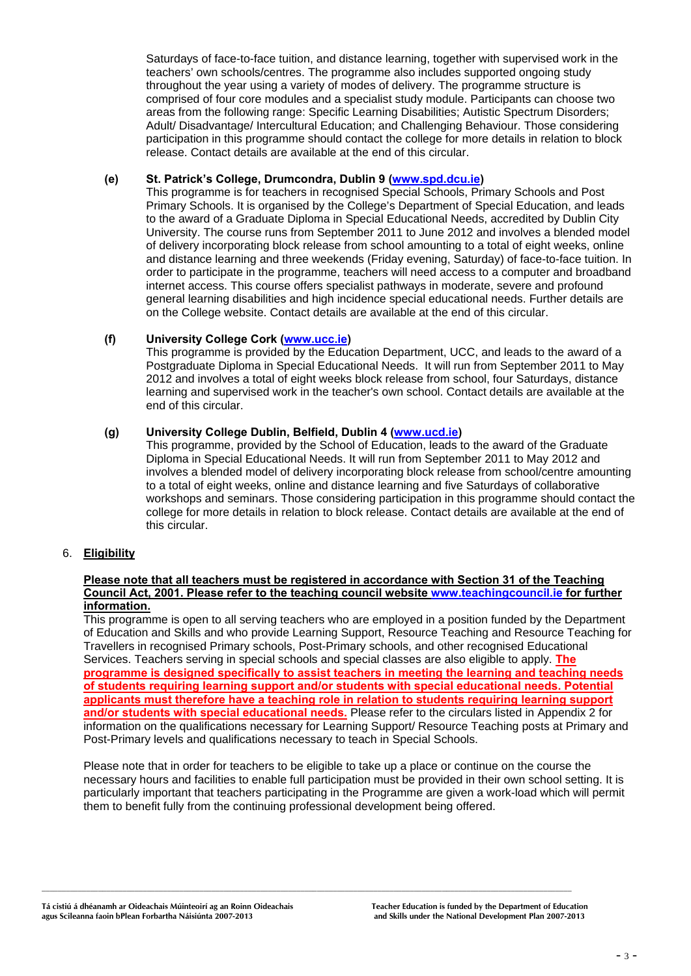Saturdays of face-to-face tuition, and distance learning, together with supervised work in the teachers' own schools/centres. The programme also includes supported ongoing study throughout the year using a variety of modes of delivery. The programme structure is comprised of four core modules and a specialist study module. Participants can choose two areas from the following range: Specific Learning Disabilities; Autistic Spectrum Disorders; Adult/ Disadvantage/ Intercultural Education; and Challenging Behaviour. Those considering participation in this programme should contact the college for more details in relation to block release. Contact details are available at the end of this circular.

### **(e) St. Patrick's College, Drumcondra, Dublin 9 (www.spd.dcu.ie)**

This programme is for teachers in recognised Special Schools, Primary Schools and Post Primary Schools. It is organised by the College's Department of Special Education, and leads to the award of a Graduate Diploma in Special Educational Needs, accredited by Dublin City University. The course runs from September 2011 to June 2012 and involves a blended model of delivery incorporating block release from school amounting to a total of eight weeks, online and distance learning and three weekends (Friday evening, Saturday) of face-to-face tuition. In order to participate in the programme, teachers will need access to a computer and broadband internet access. This course offers specialist pathways in moderate, severe and profound general learning disabilities and high incidence special educational needs. Further details are on the College website. Contact details are available at the end of this circular.

# **(f) University College Cork (www.ucc.ie)**

This programme is provided by the Education Department, UCC, and leads to the award of a Postgraduate Diploma in Special Educational Needs. It will run from September 2011 to May 2012 and involves a total of eight weeks block release from school, four Saturdays, distance learning and supervised work in the teacher's own school. Contact details are available at the end of this circular.

### **(g) University College Dublin, Belfield, Dublin 4 (www.ucd.ie)**

This programme, provided by the School of Education, leads to the award of the Graduate Diploma in Special Educational Needs. It will run from September 2011 to May 2012 and involves a blended model of delivery incorporating block release from school/centre amounting to a total of eight weeks, online and distance learning and five Saturdays of collaborative workshops and seminars. Those considering participation in this programme should contact the college for more details in relation to block release. Contact details are available at the end of this circular.

# 6. **Eligibility**

#### **Please note that all teachers must be registered in accordance with Section 31 of the Teaching Council Act, 2001. Please refer to the teaching council website www.teachingcouncil.ie for further information.**

This programme is open to all serving teachers who are employed in a position funded by the Department of Education and Skills and who provide Learning Support, Resource Teaching and Resource Teaching for Travellers in recognised Primary schools, Post-Primary schools, and other recognised Educational Services. Teachers serving in special schools and special classes are also eligible to apply. **The programme is designed specifically to assist teachers in meeting the learning and teaching needs of students requiring learning support and/or students with special educational needs. Potential applicants must therefore have a teaching role in relation to students requiring learning support and/or students with special educational needs.** Please refer to the circulars listed in Appendix 2 for information on the qualifications necessary for Learning Support/ Resource Teaching posts at Primary and Post-Primary levels and qualifications necessary to teach in Special Schools.

Please note that in order for teachers to be eligible to take up a place or continue on the course the necessary hours and facilities to enable full participation must be provided in their own school setting. It is particularly important that teachers participating in the Programme are given a work-load which will permit them to benefit fully from the continuing professional development being offered.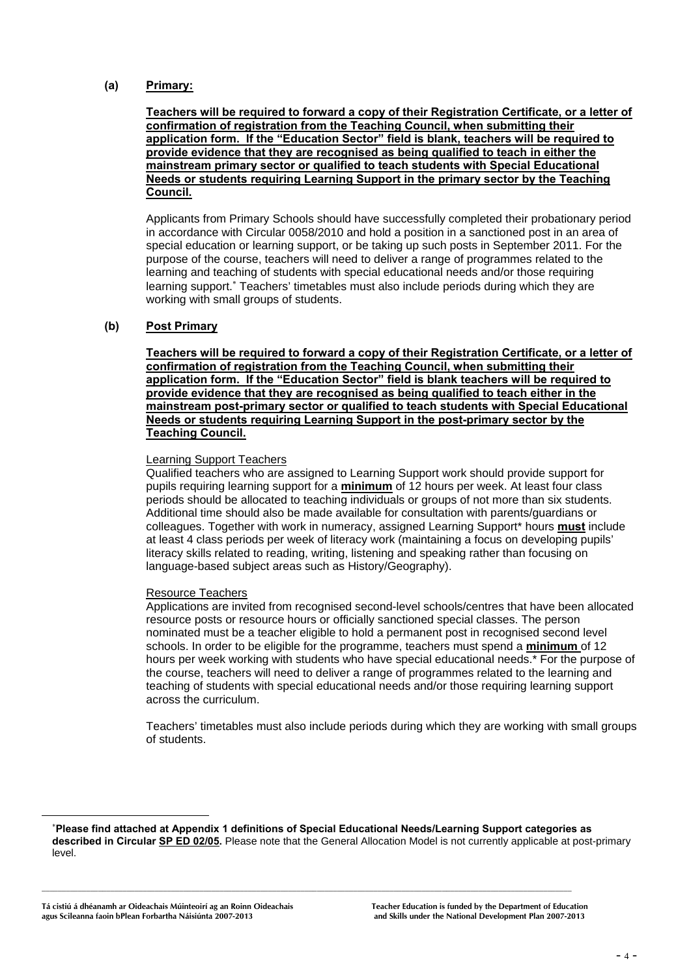### **(a) Primary:**

#### **Teachers will be required to forward a copy of their Registration Certificate, or a letter of confirmation of registration from the Teaching Council, when submitting their application form. If the "Education Sector" field is blank, teachers will be required to provide evidence that they are recognised as being qualified to teach in either the mainstream primary sector or qualified to teach students with Special Educational Needs or students requiring Learning Support in the primary sector by the Teaching Council.**

Applicants from Primary Schools should have successfully completed their probationary period in accordance with Circular 0058/2010 and hold a position in a sanctioned post in an area of special education or learning support, or be taking up such posts in September 2011. For the purpose of the course, teachers will need to deliver a range of programmes related to the learning and teaching of students with special educational needs and/or those requiring learning support.<sup>\*</sup> Teachers' timetables must also include periods during which they are working with small groups of students.

### **(b) Post Primary**

**Teachers will be required to forward a copy of their Registration Certificate, or a letter of confirmation of registration from the Teaching Council, when submitting their application form. If the "Education Sector" field is blank teachers will be required to provide evidence that they are recognised as being qualified to teach either in the mainstream post-primary sector or qualified to teach students with Special Educational Needs or students requiring Learning Support in the post-primary sector by the Teaching Council.**

#### Learning Support Teachers

Qualified teachers who are assigned to Learning Support work should provide support for pupils requiring learning support for a **minimum** of 12 hours per week. At least four class periods should be allocated to teaching individuals or groups of not more than six students. Additional time should also be made available for consultation with parents/guardians or colleagues. Together with work in numeracy, assigned Learning Support\* hours **must** include at least 4 class periods per week of literacy work (maintaining a focus on developing pupils' literacy skills related to reading, writing, listening and speaking rather than focusing on language-based subject areas such as History/Geography).

#### Resource Teachers

Applications are invited from recognised second-level schools/centres that have been allocated resource posts or resource hours or officially sanctioned special classes. The person nominated must be a teacher eligible to hold a permanent post in recognised second level schools. In order to be eligible for the programme, teachers must spend a **minimum** of 12 hours per week working with students who have special educational needs.\* For the purpose of the course, teachers will need to deliver a range of programmes related to the learning and teaching of students with special educational needs and/or those requiring learning support across the curriculum.

Teachers' timetables must also include periods during which they are working with small groups of students.

1

<sup>∗</sup> **Please find attached at Appendix 1 definitions of Special Educational Needs/Learning Support categories as described in Circular SP ED 02/05.** Please note that the General Allocation Model is not currently applicable at post-primary level.

**Tá cistiú á dhéanamh ar Oideachais Múinteoirí ag an Roinn Oideachais Teacher Education is funded by the Department of Education**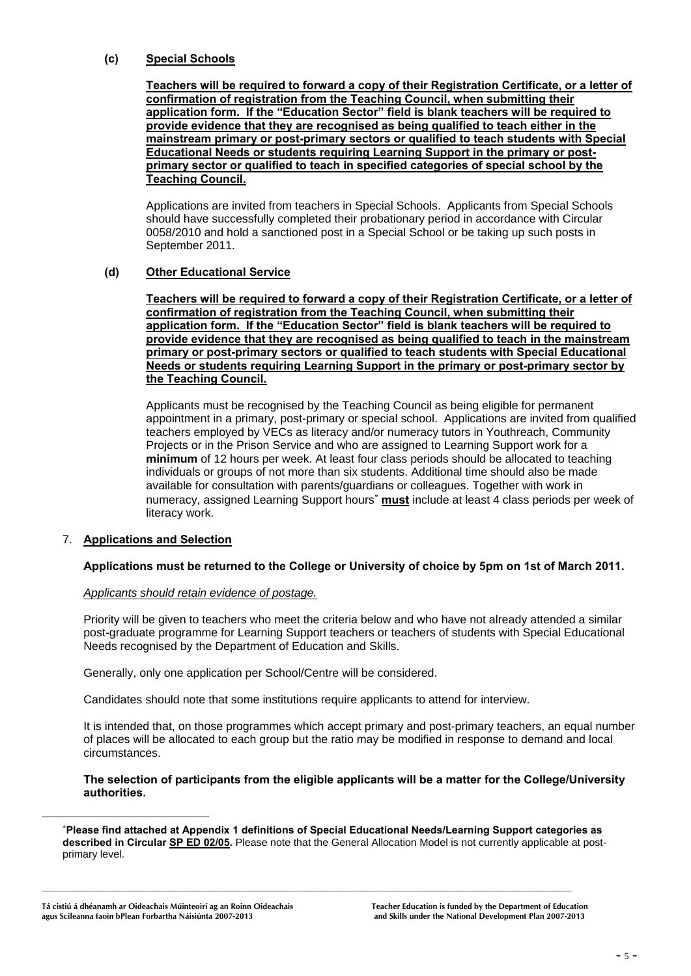#### **(c) Special Schools**

**Teachers will be required to forward a copy of their Registration Certificate, or a letter of confirmation of registration from the Teaching Council, when submitting their application form. If the "Education Sector" field is blank teachers will be required to provide evidence that they are recognised as being qualified to teach either in the mainstream primary or post-primary sectors or qualified to teach students with Special Educational Needs or students requiring Learning Support in the primary or postprimary sector or qualified to teach in specified categories of special school by the Teaching Council.**

Applications are invited from teachers in Special Schools. Applicants from Special Schools should have successfully completed their probationary period in accordance with Circular 0058/2010 and hold a sanctioned post in a Special School or be taking up such posts in September 2011.

### **(d) Other Educational Service**

**Teachers will be required to forward a copy of their Registration Certificate, or a letter of confirmation of registration from the Teaching Council, when submitting their application form. If the "Education Sector" field is blank teachers will be required to provide evidence that they are recognised as being qualified to teach in the mainstream primary or post-primary sectors or qualified to teach students with Special Educational Needs or students requiring Learning Support in the primary or post-primary sector by the Teaching Council.**

 Applicants must be recognised by the Teaching Council as being eligible for permanent appointment in a primary, post-primary or special school. Applications are invited from qualified teachers employed by VECs as literacy and/or numeracy tutors in Youthreach, Community Projects or in the Prison Service and who are assigned to Learning Support work for a **minimum** of 12 hours per week. At least four class periods should be allocated to teaching individuals or groups of not more than six students. Additional time should also be made available for consultation with parents/guardians or colleagues. Together with work in numeracy, assigned Learning Support hours<sup>∗</sup> must include at least 4 class periods per week of literacy work.

#### 7. **Applications and Selection**

#### **Applications must be returned to the College or University of choice by 5pm on 1st of March 2011.**

#### *Applicants should retain evidence of postage.*

Priority will be given to teachers who meet the criteria below and who have not already attended a similar post-graduate programme for Learning Support teachers or teachers of students with Special Educational Needs recognised by the Department of Education and Skills.

Generally, only one application per School/Centre will be considered.

Candidates should note that some institutions require applicants to attend for interview.

It is intended that, on those programmes which accept primary and post-primary teachers, an equal number of places will be allocated to each group but the ratio may be modified in response to demand and local circumstances.

#### **The selection of participants from the eligible applicants will be a matter for the College/University authorities.**

∗ **Please find attached at Appendix 1 definitions of Special Educational Needs/Learning Support categories as described in Circular SP ED 02/05.** Please note that the General Allocation Model is not currently applicable at postprimary level.

<u>.</u>

**Tá cistiú á dhéanamh ar Oideachais Múinteoirí ag an Roinn Oideachais Teacher Education is funded by the Department of Education agus Scileanna faoin bPlean Forbartha Náisiúnta 2007-2013 and Skills under the National Development Plan 2007-2013**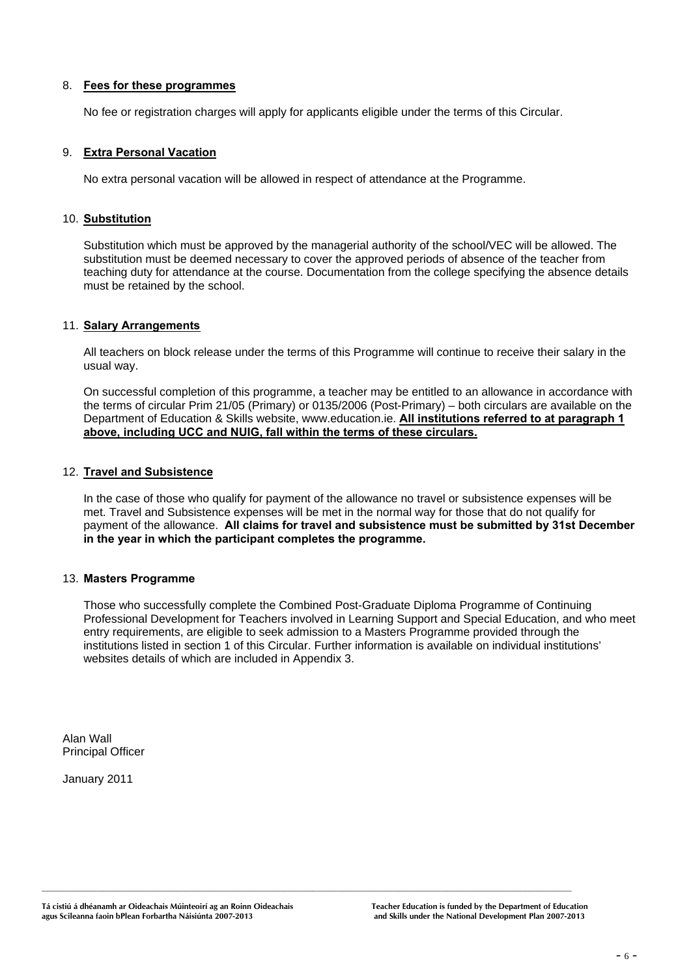#### 8. **Fees for these programmes**

No fee or registration charges will apply for applicants eligible under the terms of this Circular.

#### 9. **Extra Personal Vacation**

No extra personal vacation will be allowed in respect of attendance at the Programme.

#### 10. **Substitution**

Substitution which must be approved by the managerial authority of the school/VEC will be allowed. The substitution must be deemed necessary to cover the approved periods of absence of the teacher from teaching duty for attendance at the course. Documentation from the college specifying the absence details must be retained by the school.

#### 11. **Salary Arrangements**

All teachers on block release under the terms of this Programme will continue to receive their salary in the usual way.

On successful completion of this programme, a teacher may be entitled to an allowance in accordance with the terms of circular Prim 21/05 (Primary) or 0135/2006 (Post-Primary) – both circulars are available on the Department of Education & Skills website, www.education.ie. **All institutions referred to at paragraph 1 above, including UCC and NUIG, fall within the terms of these circulars.**

#### 12. **Travel and Subsistence**

In the case of those who qualify for payment of the allowance no travel or subsistence expenses will be met. Travel and Subsistence expenses will be met in the normal way for those that do not qualify for payment of the allowance. **All claims for travel and subsistence must be submitted by 31st December in the year in which the participant completes the programme.** 

#### 13. **Masters Programme**

Those who successfully complete the Combined Post-Graduate Diploma Programme of Continuing Professional Development for Teachers involved in Learning Support and Special Education, and who meet entry requirements, are eligible to seek admission to a Masters Programme provided through the institutions listed in section 1 of this Circular. Further information is available on individual institutions' websites details of which are included in Appendix 3.

Alan Wall Principal Officer

January 2011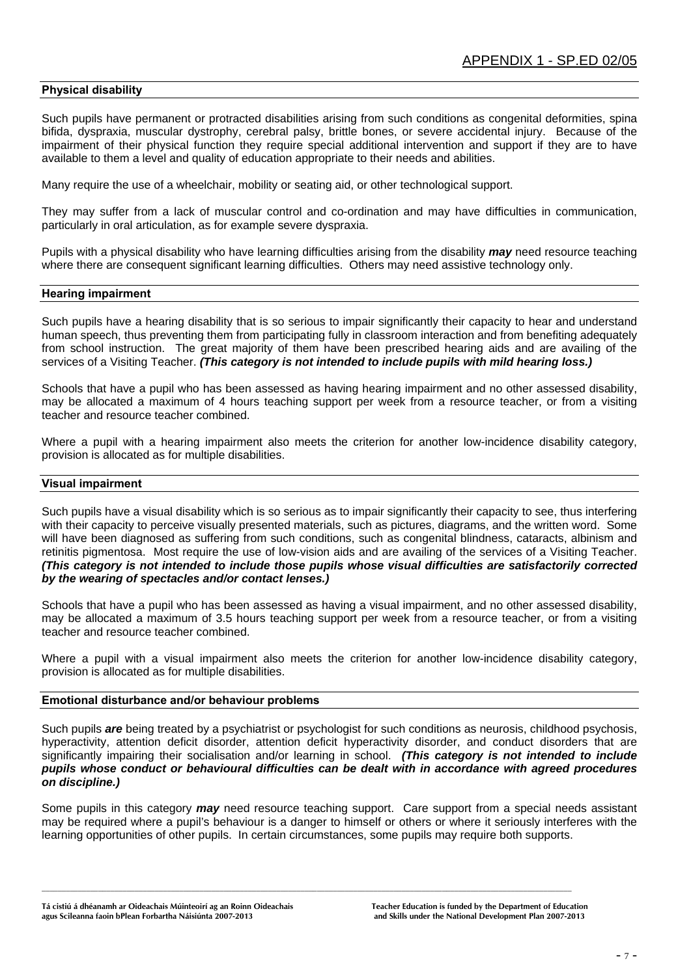#### **Physical disability**

Such pupils have permanent or protracted disabilities arising from such conditions as congenital deformities, spina bifida, dyspraxia, muscular dystrophy, cerebral palsy, brittle bones, or severe accidental injury. Because of the impairment of their physical function they require special additional intervention and support if they are to have available to them a level and quality of education appropriate to their needs and abilities.

Many require the use of a wheelchair, mobility or seating aid, or other technological support.

They may suffer from a lack of muscular control and co-ordination and may have difficulties in communication, particularly in oral articulation, as for example severe dyspraxia.

Pupils with a physical disability who have learning difficulties arising from the disability *may* need resource teaching where there are consequent significant learning difficulties. Others may need assistive technology only.

#### **Hearing impairment**

Such pupils have a hearing disability that is so serious to impair significantly their capacity to hear and understand human speech, thus preventing them from participating fully in classroom interaction and from benefiting adequately from school instruction. The great majority of them have been prescribed hearing aids and are availing of the services of a Visiting Teacher. *(This category is not intended to include pupils with mild hearing loss.)* 

Schools that have a pupil who has been assessed as having hearing impairment and no other assessed disability, may be allocated a maximum of 4 hours teaching support per week from a resource teacher, or from a visiting teacher and resource teacher combined.

Where a pupil with a hearing impairment also meets the criterion for another low-incidence disability category, provision is allocated as for multiple disabilities.

#### **Visual impairment**

Such pupils have a visual disability which is so serious as to impair significantly their capacity to see, thus interfering with their capacity to perceive visually presented materials, such as pictures, diagrams, and the written word. Some will have been diagnosed as suffering from such conditions, such as congenital blindness, cataracts, albinism and retinitis pigmentosa. Most require the use of low-vision aids and are availing of the services of a Visiting Teacher. *(This category is not intended to include those pupils whose visual difficulties are satisfactorily corrected by the wearing of spectacles and/or contact lenses.)* 

Schools that have a pupil who has been assessed as having a visual impairment, and no other assessed disability, may be allocated a maximum of 3.5 hours teaching support per week from a resource teacher, or from a visiting teacher and resource teacher combined.

Where a pupil with a visual impairment also meets the criterion for another low-incidence disability category, provision is allocated as for multiple disabilities.

#### **Emotional disturbance and/or behaviour problems**

Such pupils *are* being treated by a psychiatrist or psychologist for such conditions as neurosis, childhood psychosis, hyperactivity, attention deficit disorder, attention deficit hyperactivity disorder, and conduct disorders that are significantly impairing their socialisation and/or learning in school. *(This category is not intended to include pupils whose conduct or behavioural difficulties can be dealt with in accordance with agreed procedures on discipline.)* 

Some pupils in this category *may* need resource teaching support. Care support from a special needs assistant may be required where a pupil's behaviour is a danger to himself or others or where it seriously interferes with the learning opportunities of other pupils. In certain circumstances, some pupils may require both supports.

**Tá cistiú á dhéanamh ar Oideachais Múinteoirí ag an Roinn Oideachais Teacher Education is funded by the Department of Education agus Scileanna faoin bPlean Forbartha Náisiúnta 2007-2013 and Skills under the National Development Plan 2007-2013**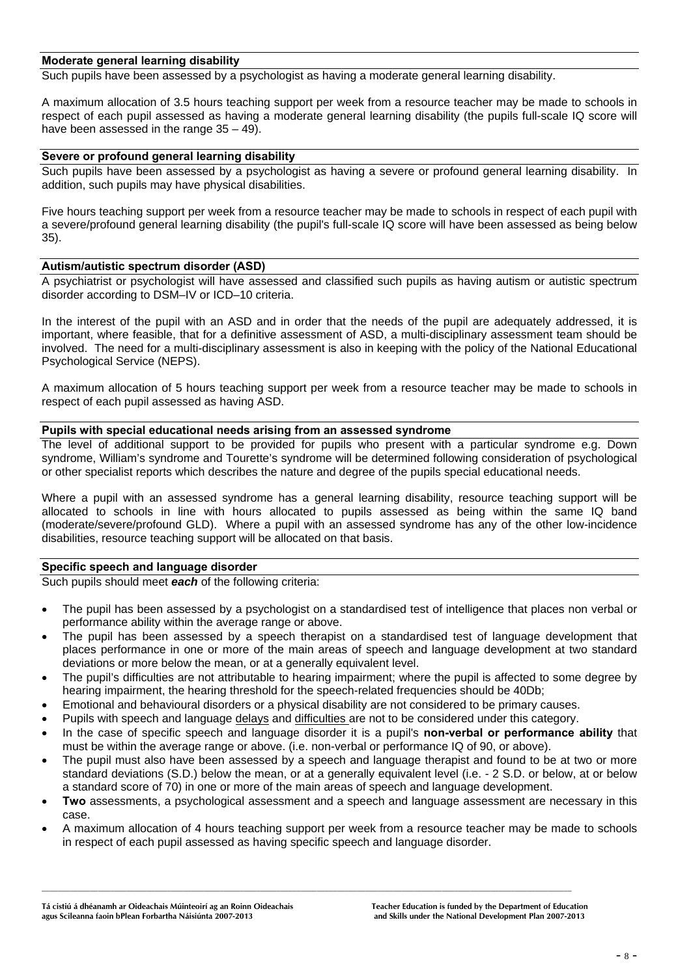#### **Moderate general learning disability**

Such pupils have been assessed by a psychologist as having a moderate general learning disability.

A maximum allocation of 3.5 hours teaching support per week from a resource teacher may be made to schools in respect of each pupil assessed as having a moderate general learning disability (the pupils full-scale IQ score will have been assessed in the range  $35 - 49$ ).

#### **Severe or profound general learning disability**

Such pupils have been assessed by a psychologist as having a severe or profound general learning disability. In addition, such pupils may have physical disabilities.

Five hours teaching support per week from a resource teacher may be made to schools in respect of each pupil with a severe/profound general learning disability (the pupil's full-scale IQ score will have been assessed as being below 35).

#### **Autism/autistic spectrum disorder (ASD)**

A psychiatrist or psychologist will have assessed and classified such pupils as having autism or autistic spectrum disorder according to DSM–IV or ICD–10 criteria.

In the interest of the pupil with an ASD and in order that the needs of the pupil are adequately addressed, it is important, where feasible, that for a definitive assessment of ASD, a multi-disciplinary assessment team should be involved. The need for a multi-disciplinary assessment is also in keeping with the policy of the National Educational Psychological Service (NEPS).

A maximum allocation of 5 hours teaching support per week from a resource teacher may be made to schools in respect of each pupil assessed as having ASD.

#### **Pupils with special educational needs arising from an assessed syndrome**

The level of additional support to be provided for pupils who present with a particular syndrome e.g. Down syndrome, William's syndrome and Tourette's syndrome will be determined following consideration of psychological or other specialist reports which describes the nature and degree of the pupils special educational needs.

Where a pupil with an assessed syndrome has a general learning disability, resource teaching support will be allocated to schools in line with hours allocated to pupils assessed as being within the same IQ band (moderate/severe/profound GLD). Where a pupil with an assessed syndrome has any of the other low-incidence disabilities, resource teaching support will be allocated on that basis.

#### **Specific speech and language disorder**

Such pupils should meet *each* of the following criteria:

- The pupil has been assessed by a psychologist on a standardised test of intelligence that places non verbal or performance ability within the average range or above.
- The pupil has been assessed by a speech therapist on a standardised test of language development that places performance in one or more of the main areas of speech and language development at two standard deviations or more below the mean, or at a generally equivalent level.
- The pupil's difficulties are not attributable to hearing impairment; where the pupil is affected to some degree by hearing impairment, the hearing threshold for the speech-related frequencies should be 40Db;
- Emotional and behavioural disorders or a physical disability are not considered to be primary causes.
- Pupils with speech and language delays and difficulties are not to be considered under this category.
- In the case of specific speech and language disorder it is a pupil's **non-verbal or performance ability** that must be within the average range or above. (i.e. non-verbal or performance IQ of 90, or above).
- The pupil must also have been assessed by a speech and language therapist and found to be at two or more standard deviations (S.D.) below the mean, or at a generally equivalent level (i.e. - 2 S.D. or below, at or below a standard score of 70) in one or more of the main areas of speech and language development.
- **Two** assessments, a psychological assessment and a speech and language assessment are necessary in this case.
- A maximum allocation of 4 hours teaching support per week from a resource teacher may be made to schools in respect of each pupil assessed as having specific speech and language disorder.

Tá cistiú á dhéanamh ar Oideachais Múinteoirí ag an Roinn Oideachais **Teacher Education is funded by the Department of Education agus Scileanna faoin bPlean Forbartha Náisiúnta 2007-2013 and Skills under the National Development Plan 2007-2013**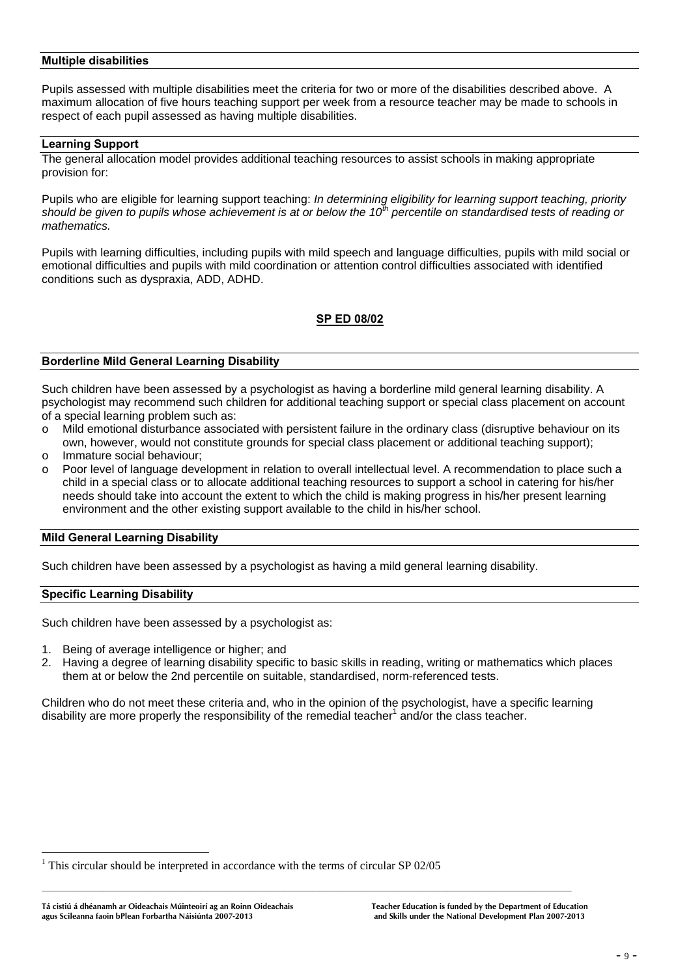#### **Multiple disabilities**

Pupils assessed with multiple disabilities meet the criteria for two or more of the disabilities described above. A maximum allocation of five hours teaching support per week from a resource teacher may be made to schools in respect of each pupil assessed as having multiple disabilities.

#### **Learning Support**

The general allocation model provides additional teaching resources to assist schools in making appropriate provision for:

Pupils who are eligible for learning support teaching: *In determining eligibility for learning support teaching, priority should be given to pupils whose achievement is at or below the 10th percentile on standardised tests of reading or mathematics.* 

Pupils with learning difficulties, including pupils with mild speech and language difficulties, pupils with mild social or emotional difficulties and pupils with mild coordination or attention control difficulties associated with identified conditions such as dyspraxia, ADD, ADHD.

#### **SP ED 08/02**

#### **Borderline Mild General Learning Disability**

Such children have been assessed by a psychologist as having a borderline mild general learning disability. A psychologist may recommend such children for additional teaching support or special class placement on account of a special learning problem such as:

- o Mild emotional disturbance associated with persistent failure in the ordinary class (disruptive behaviour on its own, however, would not constitute grounds for special class placement or additional teaching support);
- o Immature social behaviour;
- o Poor level of language development in relation to overall intellectual level. A recommendation to place such a child in a special class or to allocate additional teaching resources to support a school in catering for his/her needs should take into account the extent to which the child is making progress in his/her present learning environment and the other existing support available to the child in his/her school.

#### **Mild General Learning Disability**

Such children have been assessed by a psychologist as having a mild general learning disability.

#### **Specific Learning Disability**

1

Such children have been assessed by a psychologist as:

- 1. Being of average intelligence or higher; and
- 2. Having a degree of learning disability specific to basic skills in reading, writing or mathematics which places them at or below the 2nd percentile on suitable, standardised, norm-referenced tests.

Children who do not meet these criteria and, who in the opinion of the psychologist, have a specific learning disability are more properly the responsibility of the remedial teacher<sup>1</sup> and/or the class teacher.

<sup>&</sup>lt;sup>1</sup> This circular should be interpreted in accordance with the terms of circular SP  $02/05$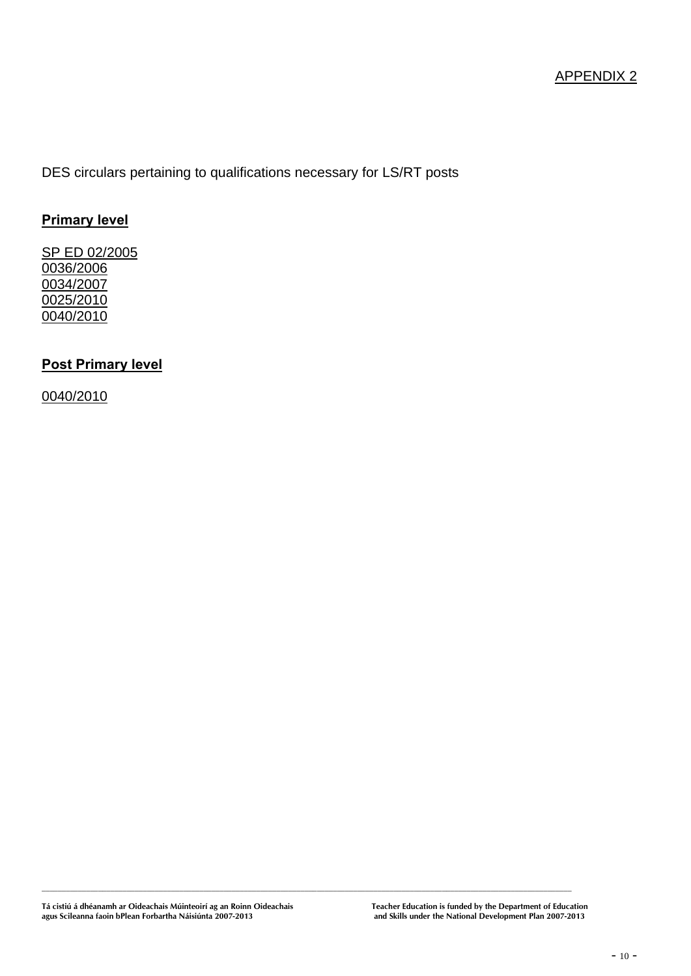DES circulars pertaining to qualifications necessary for LS/RT posts

# **Primary level**

SP ED 02/2005 0036/2006 0034/2007 0025/2010 0040/2010

# **Post Primary level**

0040/2010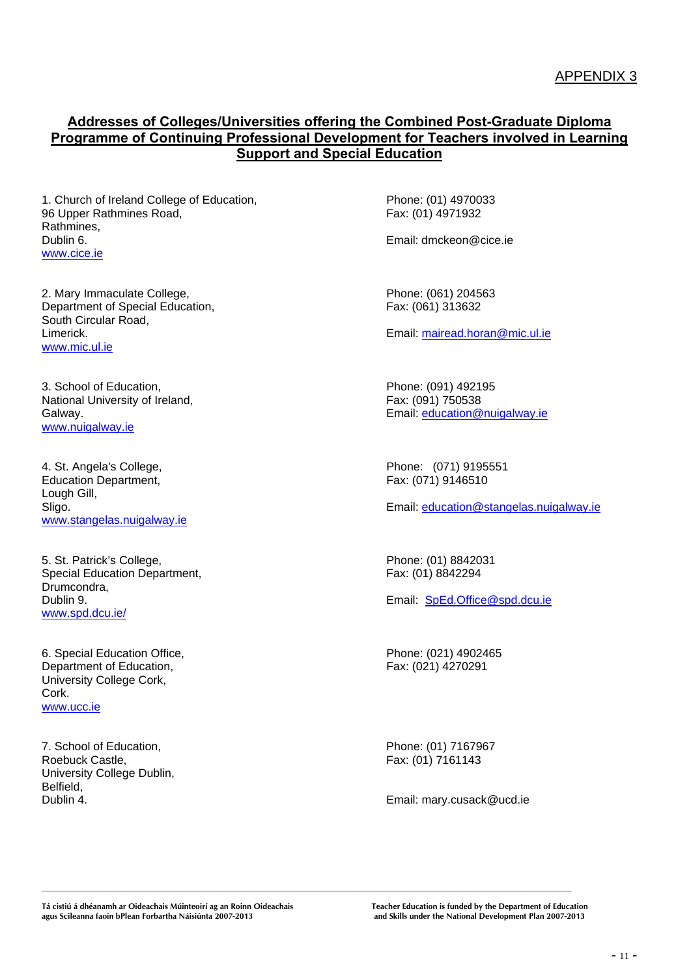# **Addresses of Colleges/Universities offering the Combined Post-Graduate Diploma Programme of Continuing Professional Development for Teachers involved in Learning Support and Special Education**

1. Church of Ireland College of Education, The Church of Ireland College of Education, Phone: (01) 4970033<br>96 Upper Rathmines Road. The Phone: (01) 4971932 96 Upper Rathmines Road. Rathmines, Dublin 6. Email: dmckeon@cice.ie www.cice.ie

2. Mary Immaculate College, **Phone: (061)** 204563 Department of Special Education, Fax: (061) 313632 South Circular Road, Limerick. Email: mairead.horan@mic.ul.ie www.mic.ul.ie

3. School of Education, Phone: (091) 492195 National University of Ireland, The Control of the Fax: (091) 750538 www.nuigalway.ie

4. St. Angela's College, Phone: (071) 9195551 Education Department, Education Department, Education Department, Education Department, Education Department, Lough Gill, www.stangelas.nuigalway.ie

5. St. Patrick's College, **Phone: (01) 8842031** Special Education Department, Fax: (01) 8842294 Drumcondra, www.spd.dcu.ie/

6. Special Education Office, Phone: (021) 4902465 Department of Education, The Contract of Education, Fax: (021) 4270291 University College Cork, Cork. www.ucc.ie

7. School of Education, The Contraction of Education, Phone: (01) 7167967 Roebuck Castle, Fax: (01) 7161143 University College Dublin, Belfield,

Galway. Email: education@nuigalway.ie

Sligo. Email: education@stangelas.nuigalway.ie

Dublin 9. Email: SpEd.Office@spd.dcu.ie

Dublin 4. Email: mary.cusack@ucd.ie

**Tá cistiú á dhéanamh ar Oideachais Múinteoirí ag an Roinn Oideachais Teacher Education is funded by the Department of Education** 

and Skills under the National Development Plan 2007-2013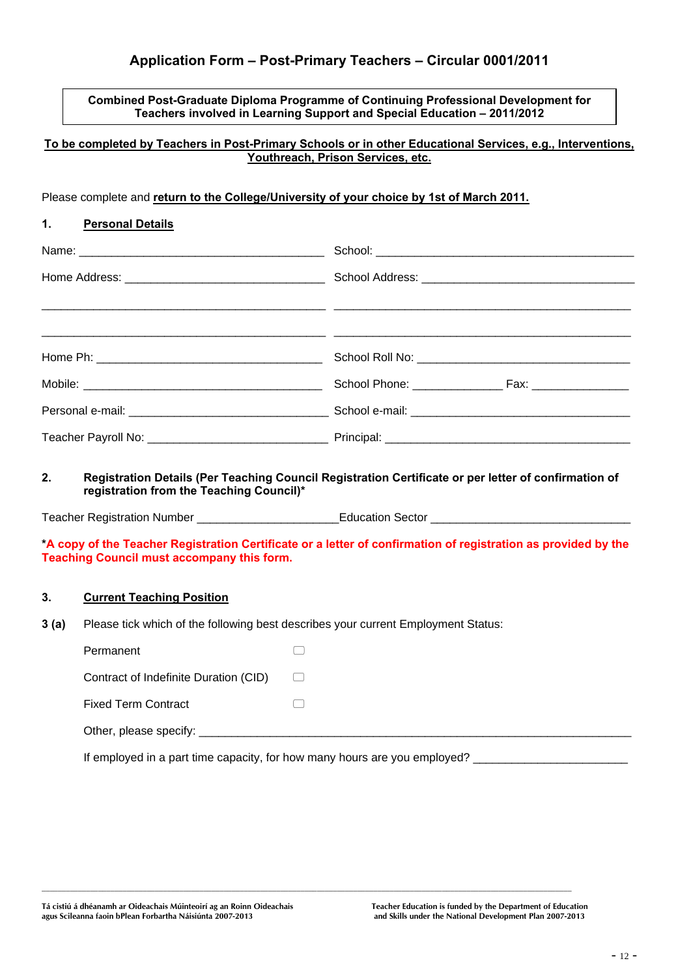**Combined Post-Graduate Diploma Programme of Continuing Professional Development for Teachers involved in Learning Support and Special Education – 2011/2012** 

#### **To be completed by Teachers in Post-Primary Schools or in other Educational Services, e.g., Interventions, Youthreach, Prison Services, etc.**

Please complete and **return to the College/University of your choice by 1st of March 2011.**

| 1.   | <b>Personal Details</b>                                                           |                                                                                                                                                                                                                                                                                                                                |  |
|------|-----------------------------------------------------------------------------------|--------------------------------------------------------------------------------------------------------------------------------------------------------------------------------------------------------------------------------------------------------------------------------------------------------------------------------|--|
|      |                                                                                   |                                                                                                                                                                                                                                                                                                                                |  |
|      |                                                                                   |                                                                                                                                                                                                                                                                                                                                |  |
|      |                                                                                   | <u> 2000 - Jan James Alexandro III (f. 1989)</u>                                                                                                                                                                                                                                                                               |  |
|      |                                                                                   |                                                                                                                                                                                                                                                                                                                                |  |
|      |                                                                                   |                                                                                                                                                                                                                                                                                                                                |  |
|      |                                                                                   |                                                                                                                                                                                                                                                                                                                                |  |
|      |                                                                                   |                                                                                                                                                                                                                                                                                                                                |  |
| 2.   | registration from the Teaching Council)*                                          | Registration Details (Per Teaching Council Registration Certificate or per letter of confirmation of<br>Teacher Registration Number _________________________Education Sector ______________________________<br>*A copy of the Teacher Registration Certificate or a letter of confirmation of registration as provided by the |  |
|      | <b>Teaching Council must accompany this form.</b>                                 |                                                                                                                                                                                                                                                                                                                                |  |
| 3.   | <b>Current Teaching Position</b>                                                  |                                                                                                                                                                                                                                                                                                                                |  |
| 3(a) | Please tick which of the following best describes your current Employment Status: |                                                                                                                                                                                                                                                                                                                                |  |
|      | Permanent                                                                         | □                                                                                                                                                                                                                                                                                                                              |  |
|      | Contract of Indefinite Duration (CID)                                             |                                                                                                                                                                                                                                                                                                                                |  |
|      | <b>Fixed Term Contract</b>                                                        | □                                                                                                                                                                                                                                                                                                                              |  |
|      |                                                                                   |                                                                                                                                                                                                                                                                                                                                |  |

If employed in a part time capacity, for how many hours are you employed?

**Tá cistiú á dhéanamh ar Oideachais Múinteoirí ag an Roinn Oideachais Teacher Education is funded by the Department of Education**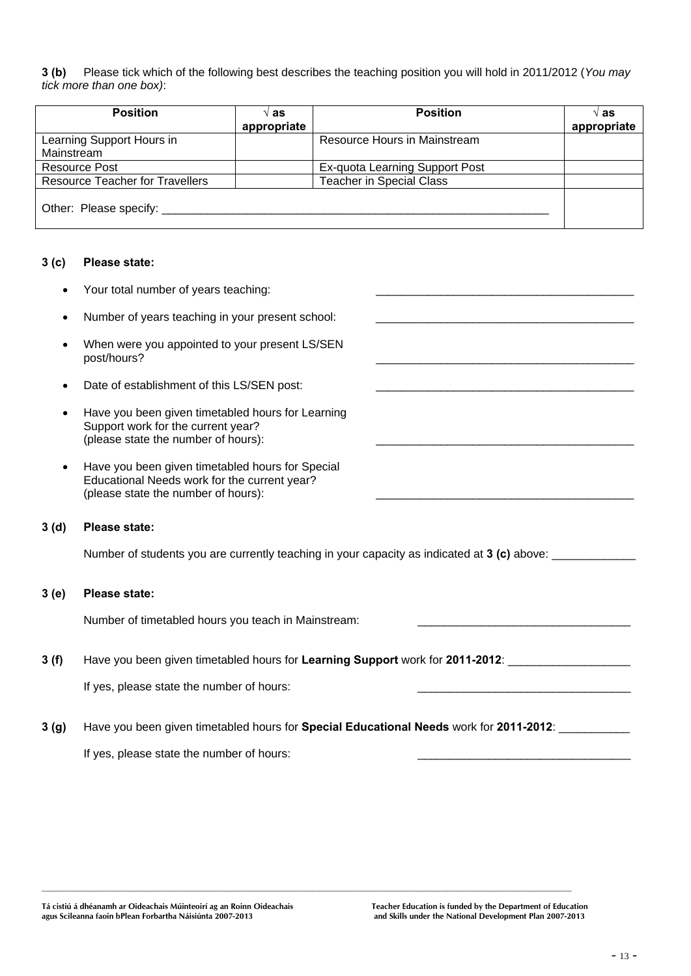**3 (b)** Please tick which of the following best describes the teaching position you will hold in 2011/2012 (*You may tick more than one box)*:

| <b>Position</b>                         | ∿ as        | <b>Position</b>                 | √ as        |  |
|-----------------------------------------|-------------|---------------------------------|-------------|--|
|                                         | appropriate |                                 | appropriate |  |
| Learning Support Hours in<br>Mainstream |             | Resource Hours in Mainstream    |             |  |
| <b>Resource Post</b>                    |             | Ex-quota Learning Support Post  |             |  |
| <b>Resource Teacher for Travellers</b>  |             | <b>Teacher in Special Class</b> |             |  |
| Other: Please specify:                  |             |                                 |             |  |

#### **3 (c) Please state:**

|                  | Your total number of years teaching:                                                                                                                                     |
|------------------|--------------------------------------------------------------------------------------------------------------------------------------------------------------------------|
|                  | Number of years teaching in your present school:<br><u> 2000 - Jan James James Jan James James James James James James James James James James James James James Jam</u> |
|                  | When were you appointed to your present LS/SEN<br>post/hours?                                                                                                            |
|                  | Date of establishment of this LS/SEN post:                                                                                                                               |
|                  | Have you been given timetabled hours for Learning<br>Support work for the current year?<br>(please state the number of hours):                                           |
|                  | Have you been given timetabled hours for Special<br>Educational Needs work for the current year?<br>(please state the number of hours):                                  |
| 3 (d)            | <b>Please state:</b>                                                                                                                                                     |
|                  | Number of students you are currently teaching in your capacity as indicated at 3 (c) above:                                                                              |
| 3(e)             | <b>Please state:</b>                                                                                                                                                     |
|                  | Number of timetabled hours you teach in Mainstream:                                                                                                                      |
| 3(f)             | Have you been given timetabled hours for Learning Support work for 2011-2012:                                                                                            |
|                  | If yes, please state the number of hours:                                                                                                                                |
| 3 <sub>(g)</sub> | Have you been given timetabled hours for Special Educational Needs work for 2011-2012: ___________                                                                       |
|                  | If yes, please state the number of hours:                                                                                                                                |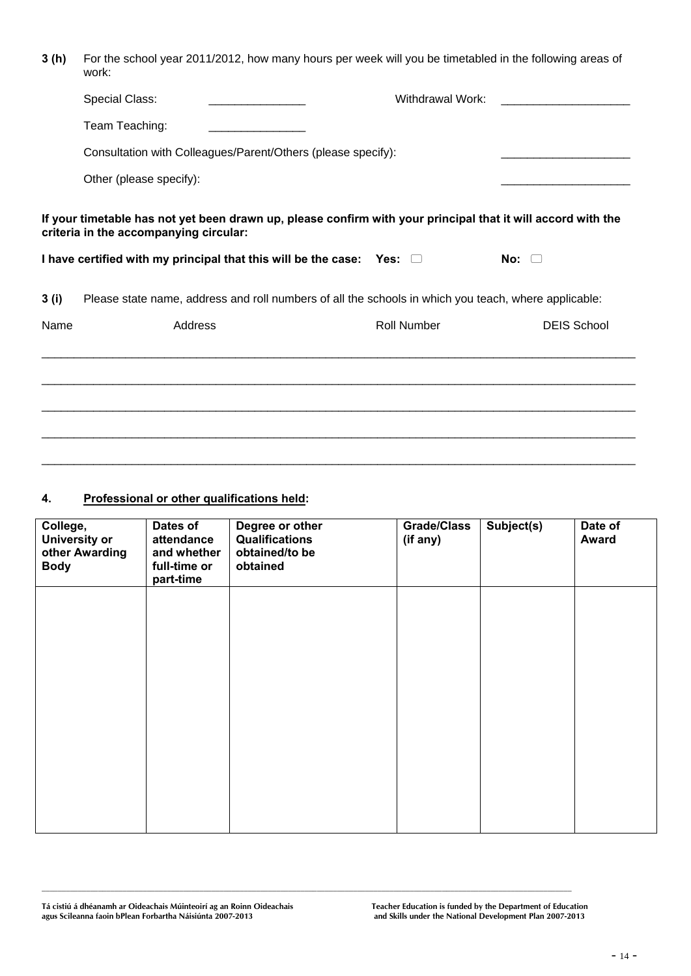| 3(h) | For the school year 2011/2012, how many hours per week will you be timetabled in the following areas of<br>work:                                       |             |                    |  |  |  |
|------|--------------------------------------------------------------------------------------------------------------------------------------------------------|-------------|--------------------|--|--|--|
|      | <b>Special Class:</b>                                                                                                                                  |             |                    |  |  |  |
|      | Team Teaching:                                                                                                                                         |             |                    |  |  |  |
|      | Consultation with Colleagues/Parent/Others (please specify):                                                                                           |             |                    |  |  |  |
|      | Other (please specify):                                                                                                                                |             |                    |  |  |  |
|      | If your timetable has not yet been drawn up, please confirm with your principal that it will accord with the<br>criteria in the accompanying circular: |             |                    |  |  |  |
|      | I have certified with my principal that this will be the case: Yes: $\Box$                                                                             |             | No: $\Box$         |  |  |  |
| 3(i) | Please state name, address and roll numbers of all the schools in which you teach, where applicable:                                                   |             |                    |  |  |  |
| Name | Address                                                                                                                                                | Roll Number | <b>DEIS School</b> |  |  |  |
|      |                                                                                                                                                        |             |                    |  |  |  |
|      |                                                                                                                                                        |             |                    |  |  |  |
|      |                                                                                                                                                        |             |                    |  |  |  |
|      |                                                                                                                                                        |             |                    |  |  |  |

 $\_$  , and the set of the set of the set of the set of the set of the set of the set of the set of the set of the set of the set of the set of the set of the set of the set of the set of the set of the set of the set of th

# **4. Professional or other qualifications held:**

| College,<br><b>University or</b><br>other Awarding<br><b>Body</b> | Dates of<br>attendance<br>and whether<br>full-time or<br>part-time | Degree or other<br><b>Qualifications</b><br>obtained/to be<br>obtained | <b>Grade/Class</b><br>(if any) | Subject(s) | Date of<br>Award |
|-------------------------------------------------------------------|--------------------------------------------------------------------|------------------------------------------------------------------------|--------------------------------|------------|------------------|
|                                                                   |                                                                    |                                                                        |                                |            |                  |
|                                                                   |                                                                    |                                                                        |                                |            |                  |
|                                                                   |                                                                    |                                                                        |                                |            |                  |
|                                                                   |                                                                    |                                                                        |                                |            |                  |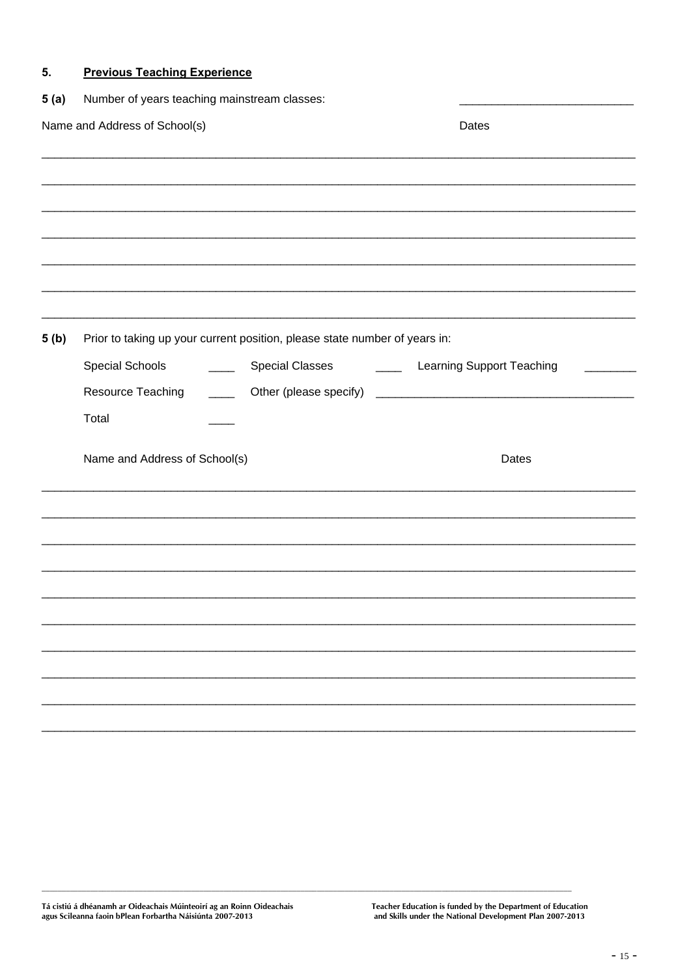#### 5. **Previous Teaching Experience**

| 5 (a)<br>Number of years teaching mainstream classes: |                               |                                                                            |                                                   |  |
|-------------------------------------------------------|-------------------------------|----------------------------------------------------------------------------|---------------------------------------------------|--|
| Name and Address of School(s)                         |                               | Dates                                                                      |                                                   |  |
|                                                       |                               |                                                                            |                                                   |  |
|                                                       |                               |                                                                            |                                                   |  |
|                                                       |                               |                                                                            |                                                   |  |
|                                                       |                               |                                                                            |                                                   |  |
|                                                       |                               |                                                                            |                                                   |  |
|                                                       |                               |                                                                            |                                                   |  |
| 5(b)                                                  |                               | Prior to taking up your current position, please state number of years in: |                                                   |  |
|                                                       | Special Schools               | <b>Special Classes</b>                                                     | <b>Learning Support Teaching</b><br>$\frac{1}{2}$ |  |
|                                                       | Resource Teaching             | Other (please specify)                                                     |                                                   |  |
|                                                       | Total                         |                                                                            |                                                   |  |
|                                                       | Name and Address of School(s) |                                                                            | Dates                                             |  |
|                                                       |                               |                                                                            |                                                   |  |
|                                                       |                               |                                                                            |                                                   |  |
|                                                       |                               |                                                                            |                                                   |  |
|                                                       |                               |                                                                            |                                                   |  |
|                                                       |                               |                                                                            |                                                   |  |
|                                                       |                               |                                                                            |                                                   |  |
|                                                       |                               |                                                                            |                                                   |  |
|                                                       |                               |                                                                            |                                                   |  |
|                                                       |                               |                                                                            |                                                   |  |
|                                                       |                               |                                                                            |                                                   |  |
|                                                       |                               |                                                                            |                                                   |  |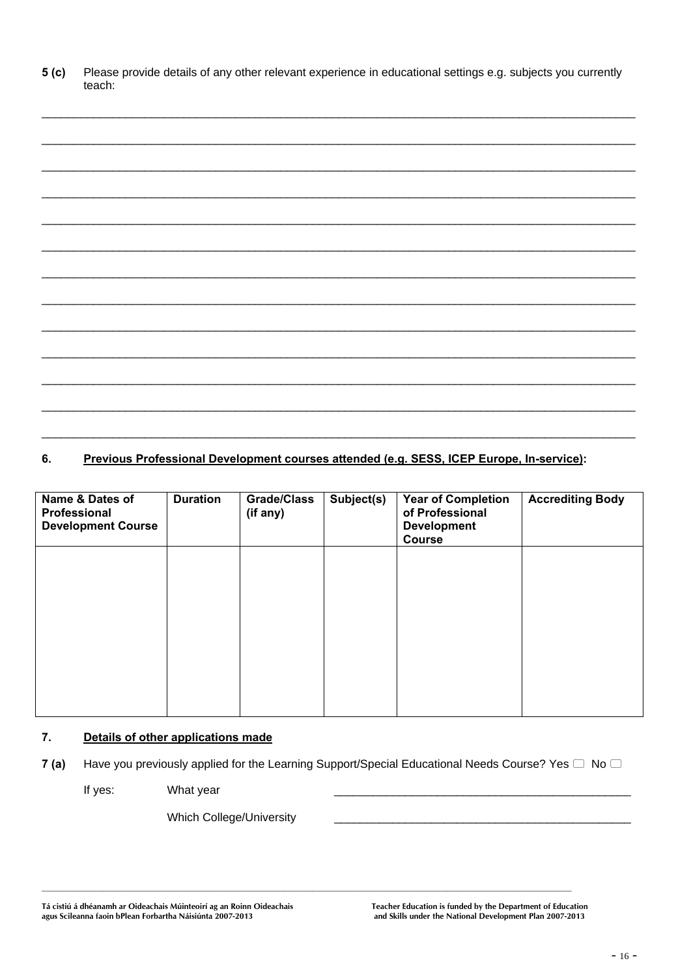**5 (c)** Please provide details of any other relevant experience in educational settings e.g. subjects you currently teach:

\_\_\_\_\_\_\_\_\_\_\_\_\_\_\_\_\_\_\_\_\_\_\_\_\_\_\_\_\_\_\_\_\_\_\_\_\_\_\_\_\_\_\_\_\_\_\_\_\_\_\_\_\_\_\_\_\_\_\_\_\_\_\_\_\_\_\_\_\_\_\_\_\_\_\_\_\_\_\_\_\_\_\_\_\_\_\_\_\_\_\_\_

# **6. Previous Professional Development courses attended (e.g. SESS, ICEP Europe, In-service):**

\_\_\_\_\_\_\_\_\_\_\_\_\_\_\_\_\_\_\_\_\_\_\_\_\_\_\_\_\_\_\_\_\_\_\_\_\_\_\_\_\_\_\_\_\_\_\_\_\_\_\_\_\_\_\_\_\_\_\_\_\_\_\_\_\_\_\_\_\_\_\_\_\_\_\_\_\_\_\_\_\_\_\_\_\_\_\_\_\_\_\_\_

| Name & Dates of<br>Professional<br><b>Development Course</b> | <b>Duration</b> | <b>Grade/Class</b><br>(if any) | Subject(s) | <b>Year of Completion</b><br>of Professional<br><b>Development</b><br><b>Course</b> | <b>Accrediting Body</b> |
|--------------------------------------------------------------|-----------------|--------------------------------|------------|-------------------------------------------------------------------------------------|-------------------------|
|                                                              |                 |                                |            |                                                                                     |                         |
|                                                              |                 |                                |            |                                                                                     |                         |
|                                                              |                 |                                |            |                                                                                     |                         |
|                                                              |                 |                                |            |                                                                                     |                         |

#### **7. Details of other applications made**

**7 (a)** Have you previously applied for the Learning Support/Special Educational Needs Course? Yes  $\Box$  No  $\Box$ 

If yes: What year \_\_\_\_\_\_\_\_\_\_\_\_\_\_\_\_\_\_\_\_\_\_\_\_\_\_\_\_\_\_\_\_\_\_\_\_\_\_\_\_\_\_\_\_\_\_

Which College/University

**Tá cistiú á dhéanamh ar Oideachais Múinteoirí ag an Roinn Oideachais Teacher Education is funded by the Department of Education agus Scileanna faoin bPlean Forbartha Náisiúnta 2007-2013 and Skills under the National Development Plan 2007-2013**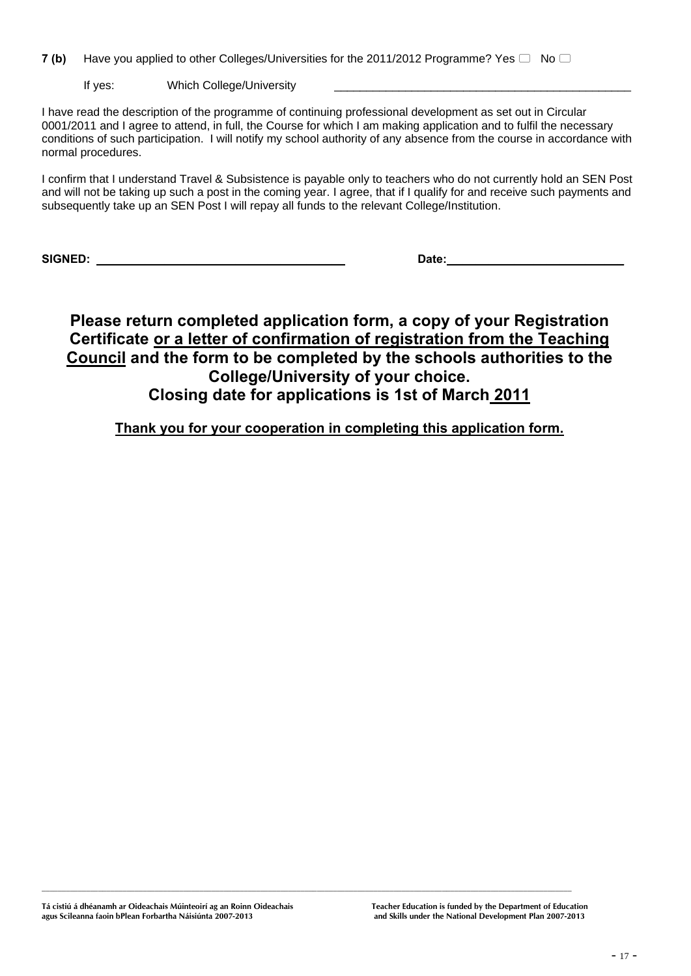- **7 (b)** Have you applied to other Colleges/Universities for the 2011/2012 Programme? Yes  $\Box$  No  $\Box$ 
	- If yes: Which College/University

I have read the description of the programme of continuing professional development as set out in Circular 0001/2011 and I agree to attend, in full, the Course for which I am making application and to fulfil the necessary conditions of such participation. I will notify my school authority of any absence from the course in accordance with normal procedures.

I confirm that I understand Travel & Subsistence is payable only to teachers who do not currently hold an SEN Post and will not be taking up such a post in the coming year. I agree, that if I qualify for and receive such payments and subsequently take up an SEN Post I will repay all funds to the relevant College/Institution.

**SIGNED: \_\_\_\_\_\_\_\_\_\_\_\_\_\_\_\_\_\_\_\_\_\_\_\_\_\_\_\_\_\_\_\_\_\_\_\_\_\_ Date: \_\_\_\_\_\_\_\_\_\_\_\_\_\_\_\_\_\_\_\_\_\_\_\_\_\_\_**

# **Please return completed application form, a copy of your Registration Certificate or a letter of confirmation of registration from the Teaching Council and the form to be completed by the schools authorities to the College/University of your choice. Closing date for applications is 1st of March 2011**

**Thank you for your cooperation in completing this application form.**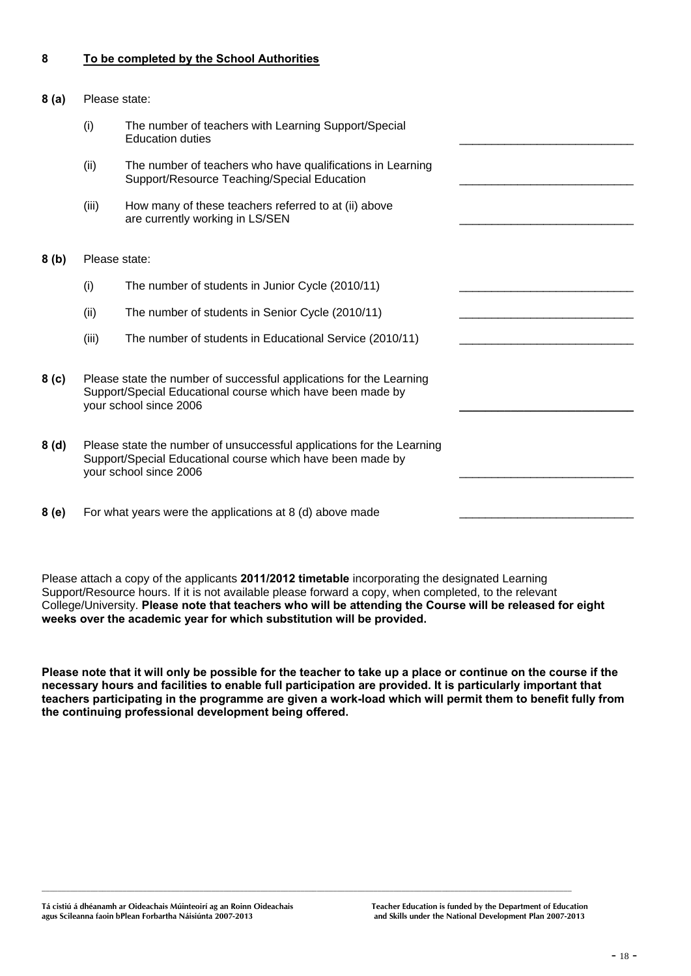# **8 To be completed by the School Authorities**

#### **8 (a)** Please state:

|                  | (i)<br>The number of teachers with Learning Support/Special<br><b>Education duties</b>                                                                        |                                                                                                           |  |  |
|------------------|---------------------------------------------------------------------------------------------------------------------------------------------------------------|-----------------------------------------------------------------------------------------------------------|--|--|
|                  | (ii)                                                                                                                                                          | The number of teachers who have qualifications in Learning<br>Support/Resource Teaching/Special Education |  |  |
|                  | (iii)                                                                                                                                                         | How many of these teachers referred to at (ii) above<br>are currently working in LS/SEN                   |  |  |
| 8(b)             | Please state:                                                                                                                                                 |                                                                                                           |  |  |
|                  | (i)                                                                                                                                                           | The number of students in Junior Cycle (2010/11)                                                          |  |  |
|                  | (ii)                                                                                                                                                          | The number of students in Senior Cycle (2010/11)                                                          |  |  |
|                  | (iii)                                                                                                                                                         | The number of students in Educational Service (2010/11)                                                   |  |  |
| 8 <sub>(c)</sub> | Please state the number of successful applications for the Learning<br>Support/Special Educational course which have been made by<br>your school since 2006   |                                                                                                           |  |  |
| 8(d)             | Please state the number of unsuccessful applications for the Learning<br>Support/Special Educational course which have been made by<br>your school since 2006 |                                                                                                           |  |  |
| 8(e)             | For what years were the applications at 8 (d) above made                                                                                                      |                                                                                                           |  |  |

Please attach a copy of the applicants **2011/2012 timetable** incorporating the designated Learning Support/Resource hours. If it is not available please forward a copy, when completed, to the relevant College/University. **Please note that teachers who will be attending the Course will be released for eight weeks over the academic year for which substitution will be provided.** 

**Please note that it will only be possible for the teacher to take up a place or continue on the course if the necessary hours and facilities to enable full participation are provided. It is particularly important that teachers participating in the programme are given a work-load which will permit them to benefit fully from the continuing professional development being offered.**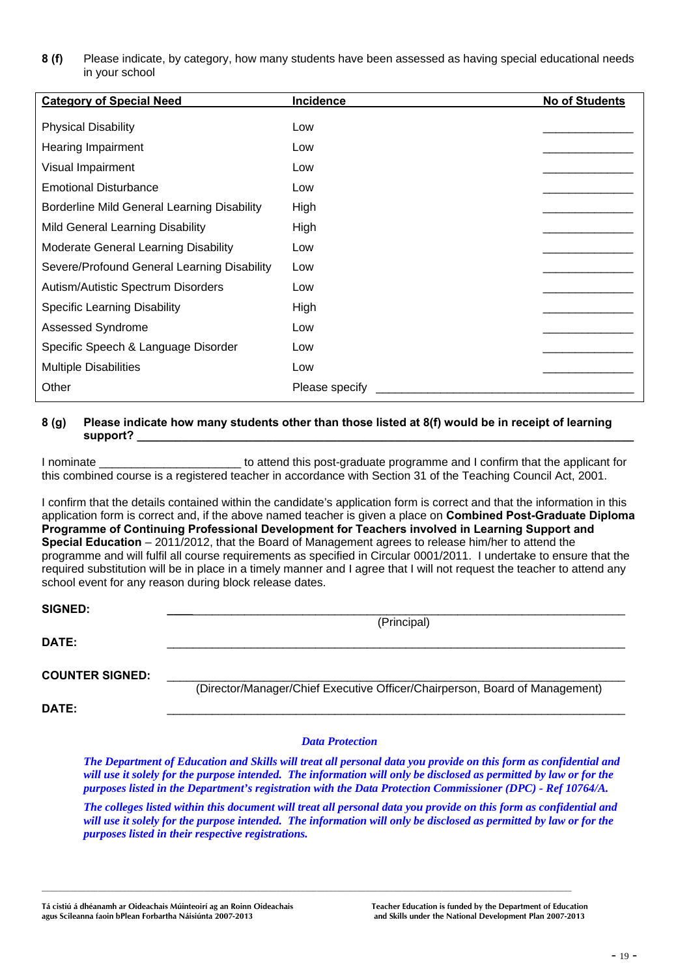#### **8 (f)** Please indicate, by category, how many students have been assessed as having special educational needs in your school

| <b>Category of Special Need</b>             | Incidence      | <b>No of Students</b> |
|---------------------------------------------|----------------|-----------------------|
| <b>Physical Disability</b>                  | Low            |                       |
| Hearing Impairment                          | Low            |                       |
| Visual Impairment                           | Low            |                       |
| <b>Emotional Disturbance</b>                | Low            |                       |
| Borderline Mild General Learning Disability | High           |                       |
| Mild General Learning Disability            | High           |                       |
| Moderate General Learning Disability        | Low            |                       |
| Severe/Profound General Learning Disability | Low            |                       |
| <b>Autism/Autistic Spectrum Disorders</b>   | Low            |                       |
| <b>Specific Learning Disability</b>         | High           |                       |
| Assessed Syndrome                           | Low            |                       |
| Specific Speech & Language Disorder         | Low            |                       |
| <b>Multiple Disabilities</b>                | Low            |                       |
| Other                                       | Please specify |                       |

#### **8 (g) Please indicate how many students other than those listed at 8(f) would be in receipt of learning support? \_\_\_\_\_\_\_\_\_\_\_\_\_\_\_\_\_\_\_\_\_\_\_\_\_\_\_\_\_\_\_\_\_\_\_\_\_\_\_\_\_\_\_\_\_\_\_\_\_\_\_\_\_\_\_\_\_\_\_\_\_\_\_\_\_\_\_\_\_\_\_\_\_\_\_\_\_**

I nominate \_\_\_\_\_\_\_\_\_\_\_\_\_\_\_\_\_\_\_\_\_\_ to attend this post-graduate programme and I confirm that the applicant for this combined course is a registered teacher in accordance with Section 31 of the Teaching Council Act, 2001.

I confirm that the details contained within the candidate's application form is correct and that the information in this application form is correct and, if the above named teacher is given a place on **Combined Post-Graduate Diploma Programme of Continuing Professional Development for Teachers involved in Learning Support and Special Education** – 2011/2012, that the Board of Management agrees to release him/her to attend the programme and will fulfil all course requirements as specified in Circular 0001/2011. I undertake to ensure that the required substitution will be in place in a timely manner and I agree that I will not request the teacher to attend any school event for any reason during block release dates.

| <b>SIGNED:</b>         |                                                                             |
|------------------------|-----------------------------------------------------------------------------|
|                        | (Principal)                                                                 |
| DATE:                  |                                                                             |
|                        |                                                                             |
| <b>COUNTER SIGNED:</b> |                                                                             |
|                        | (Director/Manager/Chief Executive Officer/Chairperson, Board of Management) |
| <b>DATE:</b>           |                                                                             |

#### *Data Protection*

*The Department of Education and Skills will treat all personal data you provide on this form as confidential and*  will use it solely for the purpose intended. The information will only be disclosed as permitted by law or for the *purposes listed in the Department's registration with the Data Protection Commissioner (DPC) - Ref 10764/A.* 

*The colleges listed within this document will treat all personal data you provide on this form as confidential and*  will use it solely for the purpose intended. The information will only be disclosed as permitted by law or for the *purposes listed in their respective registrations.*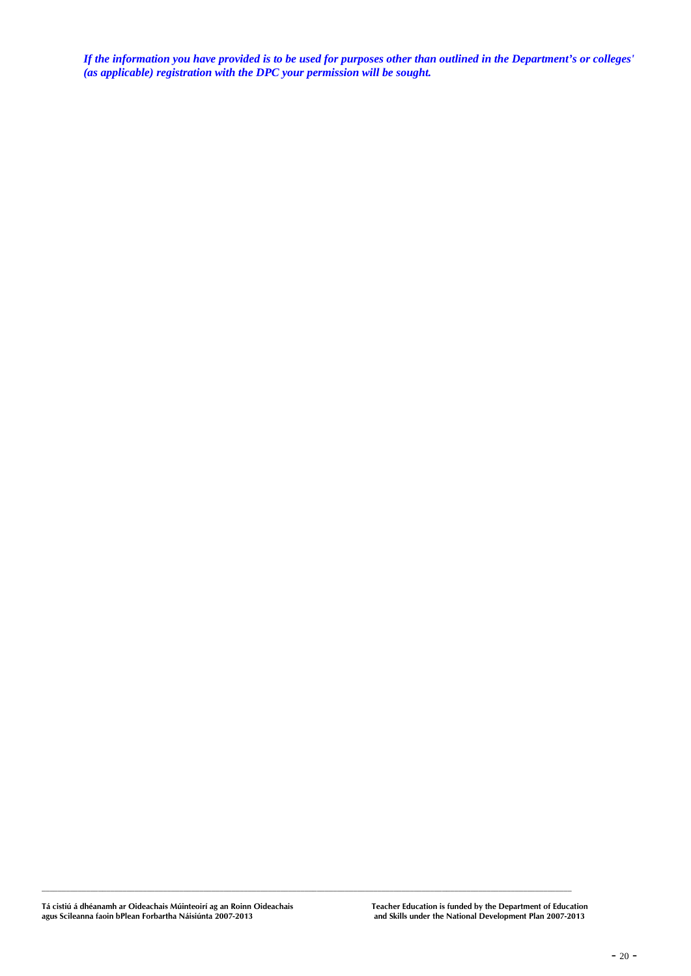*If the information you have provided is to be used for purposes other than outlined in the Department's or colleges' (as applicable) registration with the DPC your permission will be sought.*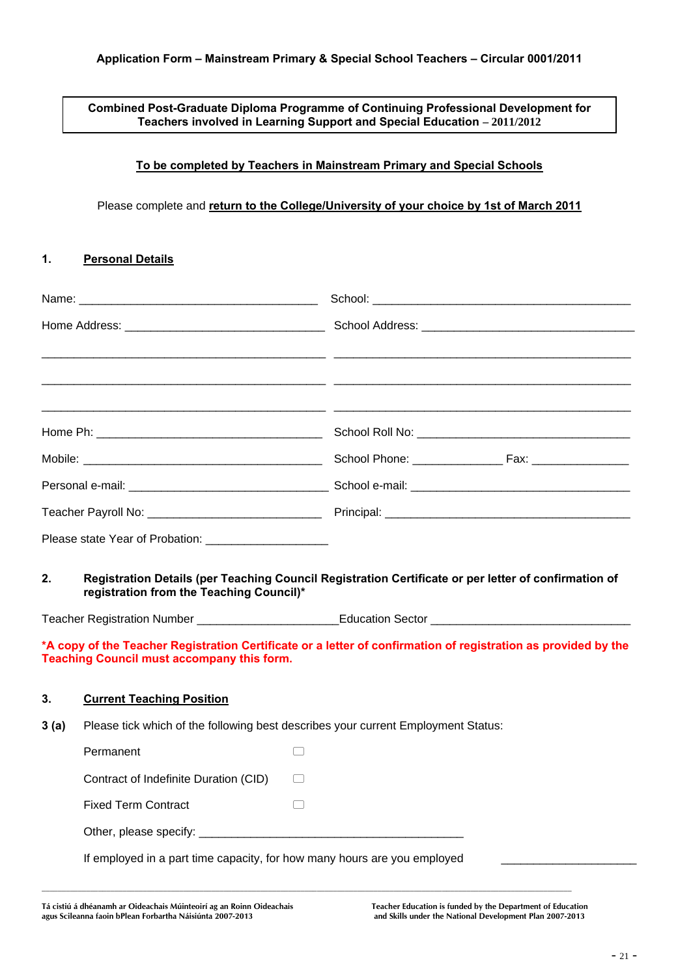### **Combined Post-Graduate Diploma Programme of Continuing Professional Development for Teachers involved in Learning Support and Special Education – 2011/2012**

# **To be completed by Teachers in Mainstream Primary and Special Schools**

#### Please complete and **return to the College/University of your choice by 1st of March 2011**

#### **1. Personal Details**

|      |                                                                                               | <u> 1989 - Johann Barn, mars and de Brandenburg (b. 1989)</u>                                                                                                                                                          |  |
|------|-----------------------------------------------------------------------------------------------|------------------------------------------------------------------------------------------------------------------------------------------------------------------------------------------------------------------------|--|
|      |                                                                                               |                                                                                                                                                                                                                        |  |
|      |                                                                                               |                                                                                                                                                                                                                        |  |
|      |                                                                                               |                                                                                                                                                                                                                        |  |
|      |                                                                                               |                                                                                                                                                                                                                        |  |
|      | Please state Year of Probation: ______________________                                        |                                                                                                                                                                                                                        |  |
| 2.   | registration from the Teaching Council)*<br><b>Teaching Council must accompany this form.</b> | Registration Details (per Teaching Council Registration Certificate or per letter of confirmation of<br>*A copy of the Teacher Registration Certificate or a letter of confirmation of registration as provided by the |  |
| 3.   | <b>Current Teaching Position</b>                                                              |                                                                                                                                                                                                                        |  |
| 3(a) | Please tick which of the following best describes your current Employment Status:             |                                                                                                                                                                                                                        |  |
|      | Permanent                                                                                     |                                                                                                                                                                                                                        |  |
|      | Contract of Indefinite Duration (CID)                                                         | $\Box$                                                                                                                                                                                                                 |  |
|      | <b>Fixed Term Contract</b>                                                                    |                                                                                                                                                                                                                        |  |
|      |                                                                                               |                                                                                                                                                                                                                        |  |
|      | If employed in a part time capacity, for how many hours are you employed                      |                                                                                                                                                                                                                        |  |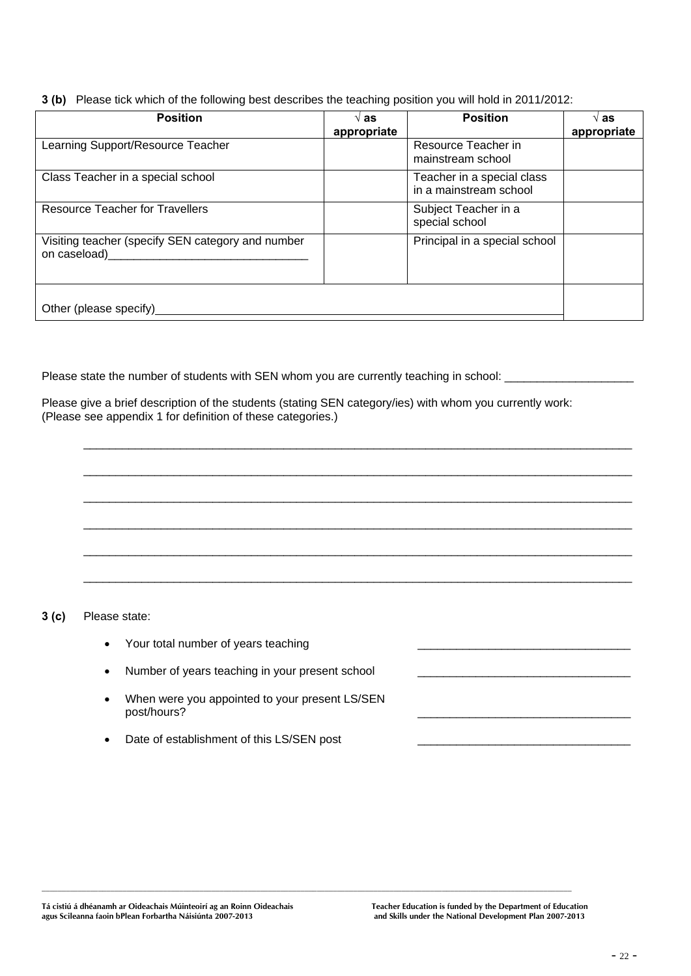**3 (b)** Please tick which of the following best describes the teaching position you will hold in 2011/2012:

| <b>Position</b>                                                   | $\sqrt{a}$ s<br>appropriate | <b>Position</b>                                      | as<br>appropriate |
|-------------------------------------------------------------------|-----------------------------|------------------------------------------------------|-------------------|
| Learning Support/Resource Teacher                                 |                             | Resource Teacher in<br>mainstream school             |                   |
| Class Teacher in a special school                                 |                             | Teacher in a special class<br>in a mainstream school |                   |
| <b>Resource Teacher for Travellers</b>                            |                             | Subject Teacher in a<br>special school               |                   |
| Visiting teacher (specify SEN category and number<br>on caseload) |                             | Principal in a special school                        |                   |
| Other (please specify)                                            |                             |                                                      |                   |

Please state the number of students with SEN whom you are currently teaching in school:

Please give a brief description of the students (stating SEN category/ies) with whom you currently work: (Please see appendix 1 for definition of these categories.)



#### **3 (c)** Please state:

- Your total number of years teaching
- Number of years teaching in your present school
- When were you appointed to your present LS/SEN post/hours?
- Date of establishment of this LS/SEN post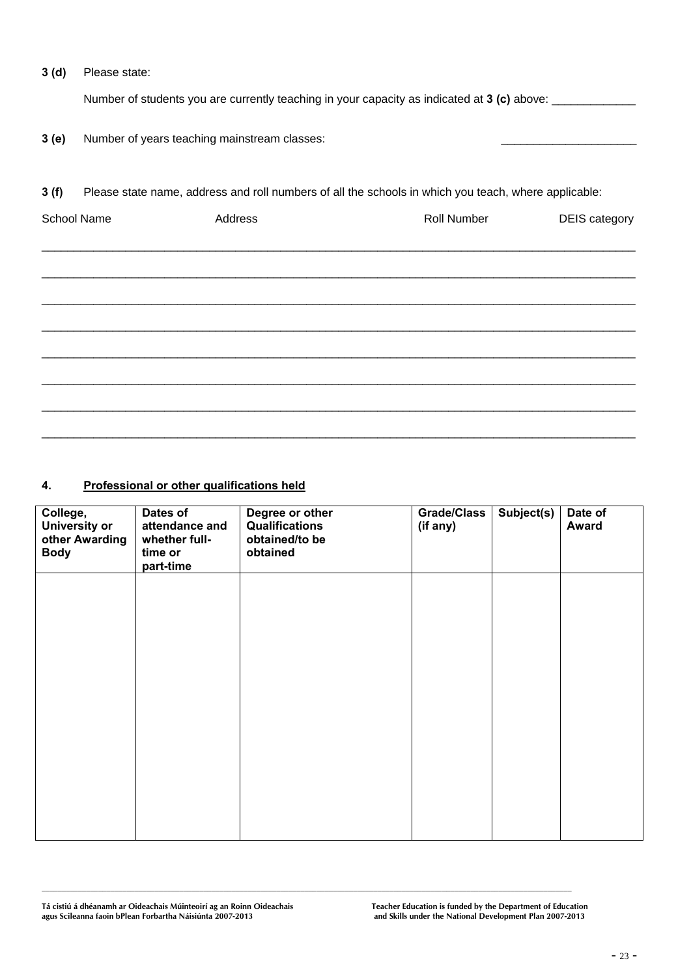#### **3 (d)** Please state:

Number of students you are currently teaching in your capacity as indicated at 3 (c) above: \_

**3 (e)** Number of years teaching mainstream classes:

# **3 (f)** Please state name, address and roll numbers of all the schools in which you teach, where applicable:

| <b>School Name</b> | Address | Roll Number | DEIS category |
|--------------------|---------|-------------|---------------|
|                    |         |             |               |
|                    |         |             |               |
|                    |         |             |               |
|                    |         |             |               |
|                    |         |             |               |
|                    |         |             |               |
|                    |         |             |               |

# **4. Professional or other qualifications held**

| College,<br><b>University or</b><br>other Awarding<br><b>Body</b> | Dates of<br>attendance and<br>whether full-<br>time or<br>part-time | Degree or other<br>Qualifications<br>obtained/to be<br>obtained | <b>Grade/Class</b><br>(if any) | Subject(s) | Date of<br>Award |
|-------------------------------------------------------------------|---------------------------------------------------------------------|-----------------------------------------------------------------|--------------------------------|------------|------------------|
|                                                                   |                                                                     |                                                                 |                                |            |                  |
|                                                                   |                                                                     |                                                                 |                                |            |                  |
|                                                                   |                                                                     |                                                                 |                                |            |                  |
|                                                                   |                                                                     |                                                                 |                                |            |                  |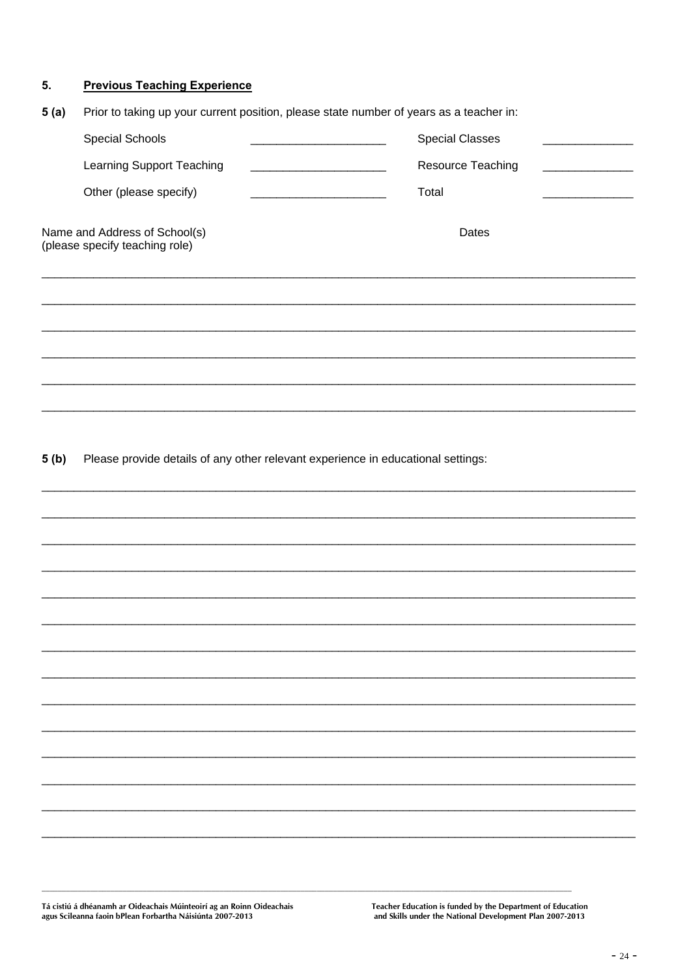#### **Previous Teaching Experience**  $5.$

| 5 (a)                                                                                                                                            | Prior to taking up your current position, please state number of years as a teacher in: |                          |
|--------------------------------------------------------------------------------------------------------------------------------------------------|-----------------------------------------------------------------------------------------|--------------------------|
|                                                                                                                                                  | Special Schools                                                                         | <b>Special Classes</b>   |
|                                                                                                                                                  | Learning Support Teaching                                                               | <b>Resource Teaching</b> |
| Other (please specify)<br><u> 1989 - Johann Barbara, martin da kasar da shekara ta 1989 - An tsa marka a shekara tsa na shekara tsa na sheka</u> |                                                                                         | Total                    |
|                                                                                                                                                  | Name and Address of School(s)<br>(please specify teaching role)                         | Dates                    |
|                                                                                                                                                  |                                                                                         |                          |
|                                                                                                                                                  |                                                                                         |                          |
|                                                                                                                                                  |                                                                                         |                          |
|                                                                                                                                                  |                                                                                         |                          |
|                                                                                                                                                  |                                                                                         |                          |
|                                                                                                                                                  |                                                                                         |                          |

Please provide details of any other relevant experience in educational settings:  $5(b)$ 

Tá cistiú á dhéanamh ar Oideachais Múinteoirí ag an Roinn Oideachais<br>agus Scileanna faoin bPlean Forbartha Náisiúnta 2007-2013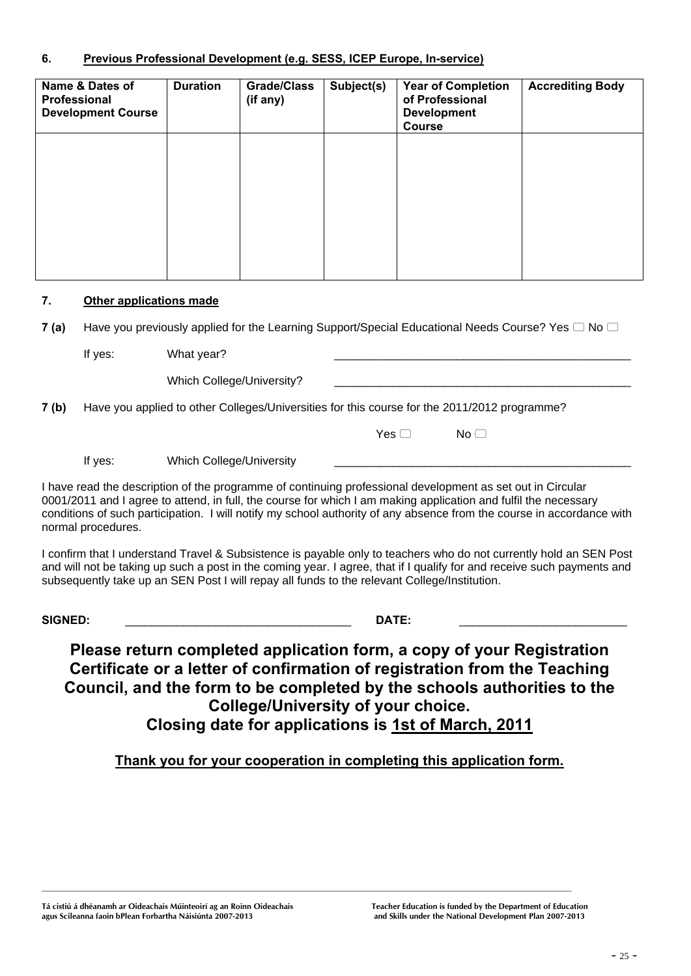# **6. Previous Professional Development (e.g. SESS, ICEP Europe, In-service)**

| Name & Dates of<br>Professional<br><b>Development Course</b> | <b>Duration</b> | <b>Grade/Class</b><br>(if any) | Subject(s) | <b>Year of Completion</b><br>of Professional<br><b>Development</b><br><b>Course</b> | <b>Accrediting Body</b> |
|--------------------------------------------------------------|-----------------|--------------------------------|------------|-------------------------------------------------------------------------------------|-------------------------|
|                                                              |                 |                                |            |                                                                                     |                         |
|                                                              |                 |                                |            |                                                                                     |                         |
|                                                              |                 |                                |            |                                                                                     |                         |

#### **7. Other applications made**

**7 (a)** Have you previously applied for the Learning Support/Special Educational Needs Course? Yes  $\Box$  No  $\Box$ 

If yes: What year? \_\_\_\_\_\_\_\_\_\_\_\_\_\_\_\_\_\_\_\_\_\_\_\_\_\_\_\_\_\_\_\_\_\_\_\_\_\_\_\_\_\_\_\_\_\_

Which College/University?

**7 (b)** Have you applied to other Colleges/Universities for this course for the 2011/2012 programme?

 $\sim$  No  $\Box$  No  $\Box$  No  $\Box$ 

If yes: Which College/University

I have read the description of the programme of continuing professional development as set out in Circular 0001/2011 and I agree to attend, in full, the course for which I am making application and fulfil the necessary conditions of such participation. I will notify my school authority of any absence from the course in accordance with normal procedures.

I confirm that I understand Travel & Subsistence is payable only to teachers who do not currently hold an SEN Post and will not be taking up such a post in the coming year. I agree, that if I qualify for and receive such payments and subsequently take up an SEN Post I will repay all funds to the relevant College/Institution.

**SIGNED:** \_\_\_\_\_\_\_\_\_\_\_\_\_\_\_\_\_\_\_\_\_\_\_\_\_\_\_\_\_\_\_\_\_\_\_ **DATE:** \_\_\_\_\_\_\_\_\_\_\_\_\_\_\_\_\_\_\_\_\_\_\_\_\_\_

**Please return completed application form, a copy of your Registration Certificate or a letter of confirmation of registration from the Teaching Council, and the form to be completed by the schools authorities to the College/University of your choice. Closing date for applications is 1st of March, 2011**

**Thank you for your cooperation in completing this application form.**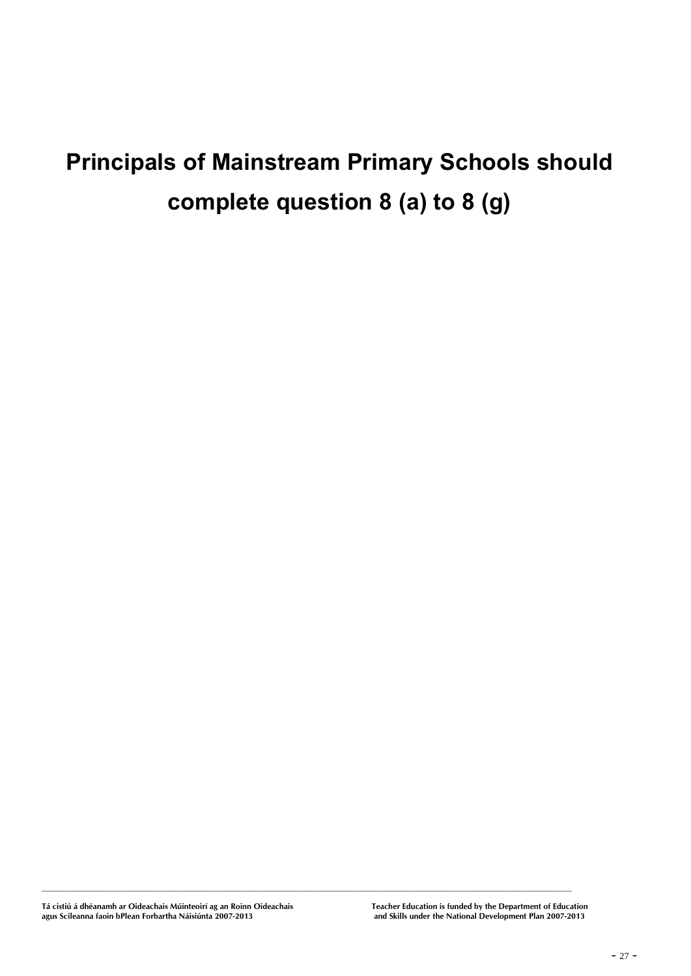# **Principals of Mainstream Primary Schools should complete question 8 (a) to 8 (g)**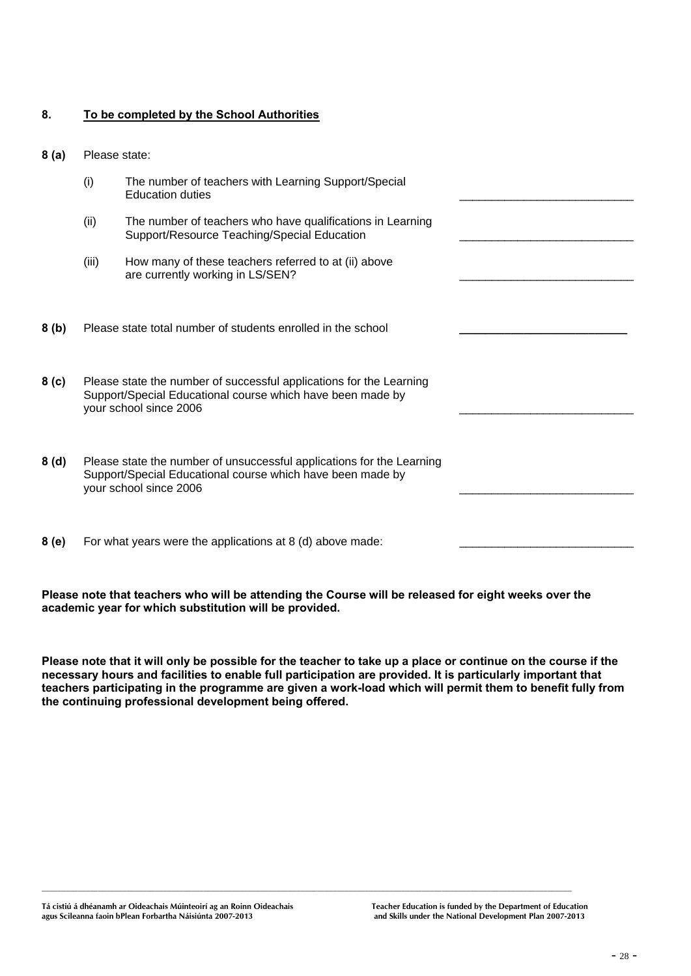#### **8. To be completed by the School Authorities**

**8 (a)** Please state:

|                  | (i)                                                                                                                                                           | The number of teachers with Learning Support/Special<br><b>Education duties</b>                           |  |
|------------------|---------------------------------------------------------------------------------------------------------------------------------------------------------------|-----------------------------------------------------------------------------------------------------------|--|
|                  | (ii)                                                                                                                                                          | The number of teachers who have qualifications in Learning<br>Support/Resource Teaching/Special Education |  |
|                  | (iii)                                                                                                                                                         | How many of these teachers referred to at (ii) above<br>are currently working in LS/SEN?                  |  |
| 8(b)             |                                                                                                                                                               | Please state total number of students enrolled in the school                                              |  |
| 8 <sub>(c)</sub> | Please state the number of successful applications for the Learning<br>Support/Special Educational course which have been made by<br>your school since 2006   |                                                                                                           |  |
| 8(d)             | Please state the number of unsuccessful applications for the Learning<br>Support/Special Educational course which have been made by<br>your school since 2006 |                                                                                                           |  |
| 8 (e)            |                                                                                                                                                               | For what years were the applications at 8 (d) above made:                                                 |  |

**Please note that teachers who will be attending the Course will be released for eight weeks over the academic year for which substitution will be provided.** 

**Please note that it will only be possible for the teacher to take up a place or continue on the course if the necessary hours and facilities to enable full participation are provided. It is particularly important that teachers participating in the programme are given a work-load which will permit them to benefit fully from the continuing professional development being offered.**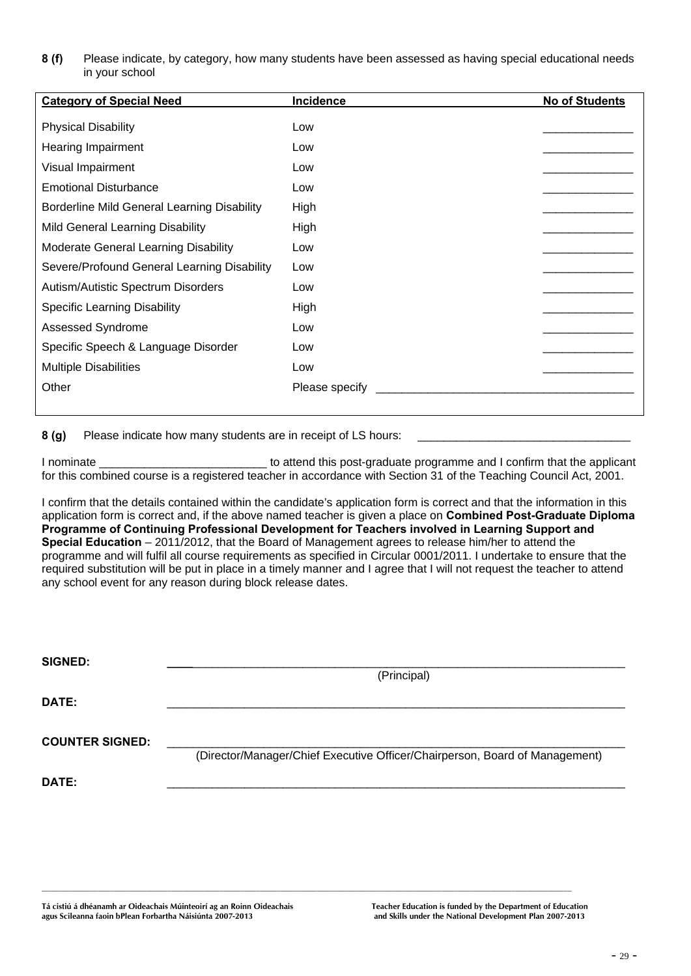#### **8 (f)** Please indicate, by category, how many students have been assessed as having special educational needs in your school

| <b>Category of Special Need</b>             | Incidence      | <b>No of Students</b> |
|---------------------------------------------|----------------|-----------------------|
| <b>Physical Disability</b>                  | Low            |                       |
| Hearing Impairment                          | Low            |                       |
| Visual Impairment                           | Low            |                       |
| <b>Emotional Disturbance</b>                | Low            |                       |
| Borderline Mild General Learning Disability | High           |                       |
| Mild General Learning Disability            | High           |                       |
| Moderate General Learning Disability        | Low            |                       |
| Severe/Profound General Learning Disability | Low            |                       |
| Autism/Autistic Spectrum Disorders          | Low            |                       |
| <b>Specific Learning Disability</b>         | High           |                       |
| Assessed Syndrome                           | Low            |                       |
| Specific Speech & Language Disorder         | Low            |                       |
| <b>Multiple Disabilities</b>                | Low            |                       |
| Other                                       | Please specify |                       |
|                                             |                |                       |

**8 (g)** Please indicate how many students are in receipt of LS hours:

I nominate \_\_\_\_\_\_\_\_\_\_\_\_\_\_\_\_\_\_\_\_\_\_\_\_\_\_ to attend this post-graduate programme and I confirm that the applicant for this combined course is a registered teacher in accordance with Section 31 of the Teaching Council Act, 2001.

I confirm that the details contained within the candidate's application form is correct and that the information in this application form is correct and, if the above named teacher is given a place on **Combined Post-Graduate Diploma Programme of Continuing Professional Development for Teachers involved in Learning Support and Special Education** – 2011/2012, that the Board of Management agrees to release him/her to attend the programme and will fulfil all course requirements as specified in Circular 0001/2011. I undertake to ensure that the required substitution will be put in place in a timely manner and I agree that I will not request the teacher to attend any school event for any reason during block release dates.

| <b>SIGNED:</b>         |                                                                             |
|------------------------|-----------------------------------------------------------------------------|
|                        | (Principal)                                                                 |
| DATE:                  |                                                                             |
|                        |                                                                             |
| <b>COUNTER SIGNED:</b> |                                                                             |
|                        | (Director/Manager/Chief Executive Officer/Chairperson, Board of Management) |
| DATE:                  |                                                                             |
|                        |                                                                             |

**Tá cistiú á dhéanamh ar Oideachais Múinteoirí ag an Roinn Oideachais Teacher Education is funded by the Department of Education agus Scileanna faoin bPlean Forbartha Náisiúnta 2007-2013 and Skills under the National Development Plan 2007-2013**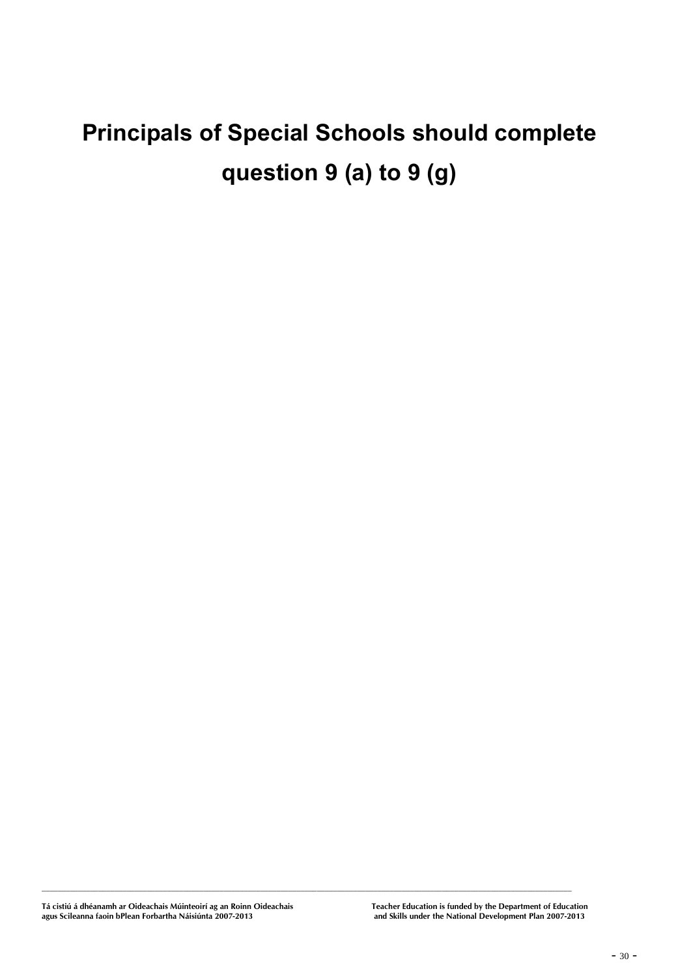# **Principals of Special Schools should complete question 9 (a) to 9 (g)**

**Tá cistiú á dhéanamh ar Oideachais Múinteoirí ag an Roinn Oideachais Teacher Education is funded by the Department of Education**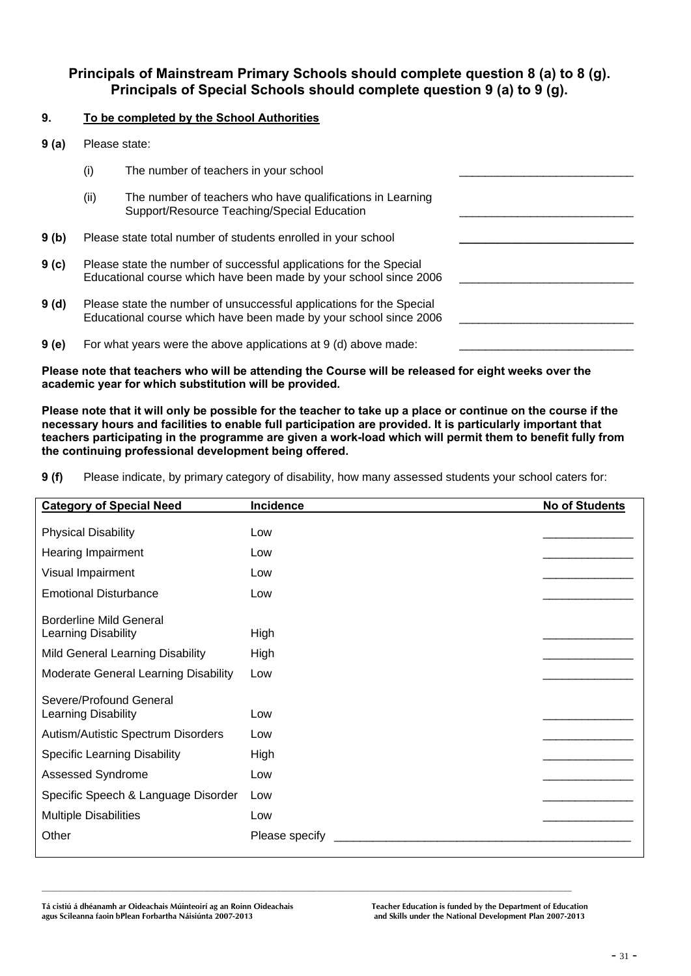# **Principals of Mainstream Primary Schools should complete question 8 (a) to 8 (g). Principals of Special Schools should complete question 9 (a) to 9 (g).**

### **9. To be completed by the School Authorities**

- **9 (a)** Please state:
	- (i) The number of teachers in your school
	- (ii) The number of teachers who have qualifications in Learning Support/Resource Teaching/Special Education
- **9 (b)** Please state total number of students enrolled in your school
- **9 (c)** Please state the number of successful applications for the Special Educational course which have been made by your school since 2006
- **9 (d)** Please state the number of unsuccessful applications for the Special Educational course which have been made by your school since 2006
- **9 (e)** For what years were the above applications at 9 (d) above made:

**Please note that teachers who will be attending the Course will be released for eight weeks over the academic year for which substitution will be provided.** 

**Please note that it will only be possible for the teacher to take up a place or continue on the course if the necessary hours and facilities to enable full participation are provided. It is particularly important that teachers participating in the programme are given a work-load which will permit them to benefit fully from the continuing professional development being offered.** 

**9 (f)** Please indicate, by primary category of disability, how many assessed students your school caters for:

| <b>Category of Special Need</b>                       | <b>Incidence</b> | No of Students |
|-------------------------------------------------------|------------------|----------------|
| <b>Physical Disability</b>                            | Low              |                |
| Hearing Impairment                                    | Low              |                |
| Visual Impairment                                     | Low              |                |
| <b>Emotional Disturbance</b>                          | Low              |                |
| <b>Borderline Mild General</b><br>Learning Disability | High             |                |
| Mild General Learning Disability                      | High             |                |
| Moderate General Learning Disability                  | Low              |                |
| Severe/Profound General<br>Learning Disability        | Low              |                |
| Autism/Autistic Spectrum Disorders                    | Low              |                |
| <b>Specific Learning Disability</b>                   | High             |                |
| Assessed Syndrome                                     | Low              |                |
| Specific Speech & Language Disorder                   | Low              |                |
| <b>Multiple Disabilities</b>                          | Low              |                |
| Other                                                 | Please specify   |                |
|                                                       |                  |                |

**Tá cistiú á dhéanamh ar Oideachais Múinteoirí ag an Roinn Oideachais Teacher Education is funded by the Department of Education agus Scileanna faoin bPlean Forbartha Náisiúnta 2007-2013 and Skills under the National Development Plan 2007-2013**